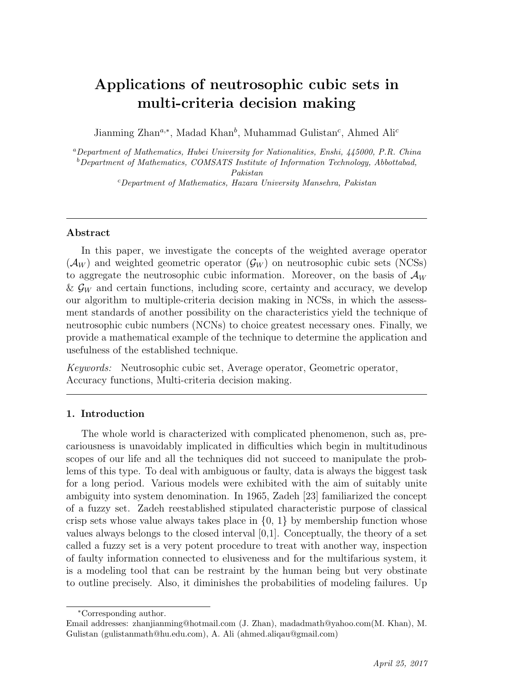# Applications of neutrosophic cubic sets in multi-criteria decision making

Jianming Zhan<sup>a,∗</sup>, Madad Khan<sup>b</sup>, Muhammad Gulistan<sup>c</sup>, Ahmed Ali<sup>c</sup>

<sup>a</sup>Department of Mathematics, Hubei University for Nationalities, Enshi,  $445000$ , P.R. China  $b$ Department of Mathematics, COMSATS Institute of Information Technology, Abbottabad, Pakistan <sup>c</sup>Department of Mathematics, Hazara University Mansehra, Pakistan

# Abstract

In this paper, we investigate the concepts of the weighted average operator  $(\mathcal{A}_W)$  and weighted geometric operator  $(\mathcal{G}_W)$  on neutrosophic cubic sets (NCSs) to aggregate the neutrosophic cubic information. Moreover, on the basis of  $\mathcal{A}_W$  $\&\mathcal{G}_W$  and certain functions, including score, certainty and accuracy, we develop our algorithm to multiple-criteria decision making in NCSs, in which the assessment standards of another possibility on the characteristics yield the technique of neutrosophic cubic numbers (NCNs) to choice greatest necessary ones. Finally, we provide a mathematical example of the technique to determine the application and usefulness of the established technique.

Keywords: Neutrosophic cubic set, Average operator, Geometric operator, Accuracy functions, Multi-criteria decision making.

# 1. Introduction

The whole world is characterized with complicated phenomenon, such as, precariousness is unavoidably implicated in difficulties which begin in multitudinous scopes of our life and all the techniques did not succeed to manipulate the problems of this type. To deal with ambiguous or faulty, data is always the biggest task for a long period. Various models were exhibited with the aim of suitably unite ambiguity into system denomination. In 1965, Zadeh [23] familiarized the concept of a fuzzy set. Zadeh reestablished stipulated characteristic purpose of classical crisp sets whose value always takes place in  $\{0, 1\}$  by membership function whose values always belongs to the closed interval  $[0,1]$ . Conceptually, the theory of a set called a fuzzy set is a very potent procedure to treat with another way, inspection of faulty information connected to elusiveness and for the multifarious system, it is a modeling tool that can be restraint by the human being but very obstinate to outline precisely. Also, it diminishes the probabilities of modeling failures. Up

<sup>∗</sup>Corresponding author.

Email addresses: zhanjianming@hotmail.com (J. Zhan), madadmath@yahoo.com(M. Khan), M. Gulistan (gulistanmath@hu.edu.com), A. Ali (ahmed.aliqau@gmail.com)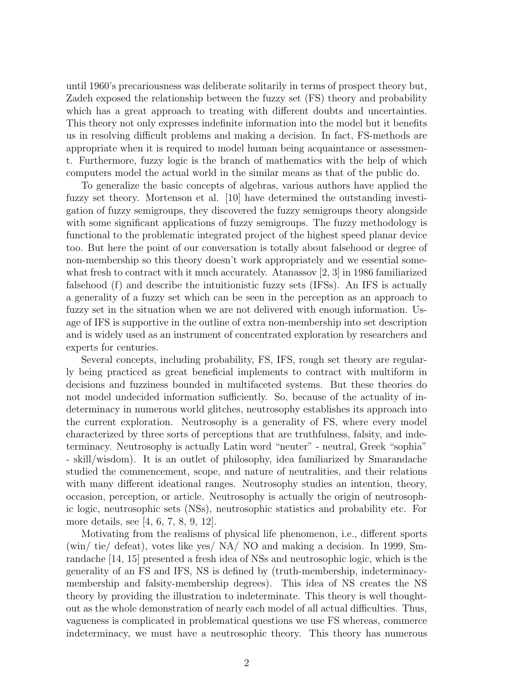until 1960's precariousness was deliberate solitarily in terms of prospect theory but, Zadeh exposed the relationship between the fuzzy set (FS) theory and probability which has a great approach to treating with different doubts and uncertainties. This theory not only expresses indefinite information into the model but it benefits us in resolving difficult problems and making a decision. In fact, FS-methods are appropriate when it is required to model human being acquaintance or assessment. Furthermore, fuzzy logic is the branch of mathematics with the help of which computers model the actual world in the similar means as that of the public do.

To generalize the basic concepts of algebras, various authors have applied the fuzzy set theory. Mortenson et al. [10] have determined the outstanding investigation of fuzzy semigroups, they discovered the fuzzy semigroups theory alongside with some significant applications of fuzzy semigroups. The fuzzy methodology is functional to the problematic integrated project of the highest speed planar device too. But here the point of our conversation is totally about falsehood or degree of non-membership so this theory doesn't work appropriately and we essential somewhat fresh to contract with it much accurately. Atanassov [2, 3] in 1986 familiarized falsehood (f) and describe the intuitionistic fuzzy sets (IFSs). An IFS is actually a generality of a fuzzy set which can be seen in the perception as an approach to fuzzy set in the situation when we are not delivered with enough information. Usage of IFS is supportive in the outline of extra non-membership into set description and is widely used as an instrument of concentrated exploration by researchers and experts for centuries.

Several concepts, including probability, FS, IFS, rough set theory are regularly being practiced as great beneficial implements to contract with multiform in decisions and fuzziness bounded in multifaceted systems. But these theories do not model undecided information sufficiently. So, because of the actuality of indeterminacy in numerous world glitches, neutrosophy establishes its approach into the current exploration. Neutrosophy is a generality of FS, where every model characterized by three sorts of perceptions that are truthfulness, falsity, and indeterminacy. Neutrosophy is actually Latin word "neuter" - neutral, Greek "sophia" - skill/wisdom). It is an outlet of philosophy, idea familiarized by Smarandache studied the commencement, scope, and nature of neutralities, and their relations with many different ideational ranges. Neutrosophy studies an intention, theory, occasion, perception, or article. Neutrosophy is actually the origin of neutrosophic logic, neutrosophic sets (NSs), neutrosophic statistics and probability etc. For more details, see [4, 6, 7, 8, 9, 12].

Motivating from the realisms of physical life phenomenon, i.e., different sports (win/ tie/ defeat), votes like yes/ NA/ NO and making a decision. In 1999, Smrandache [14, 15] presented a fresh idea of NSs and neutrosophic logic, which is the generality of an FS and IFS, NS is defined by (truth-membership, indeterminacymembership and falsity-membership degrees). This idea of NS creates the NS theory by providing the illustration to indeterminate. This theory is well thoughtout as the whole demonstration of nearly each model of all actual difficulties. Thus, vagueness is complicated in problematical questions we use FS whereas, commerce indeterminacy, we must have a neutrosophic theory. This theory has numerous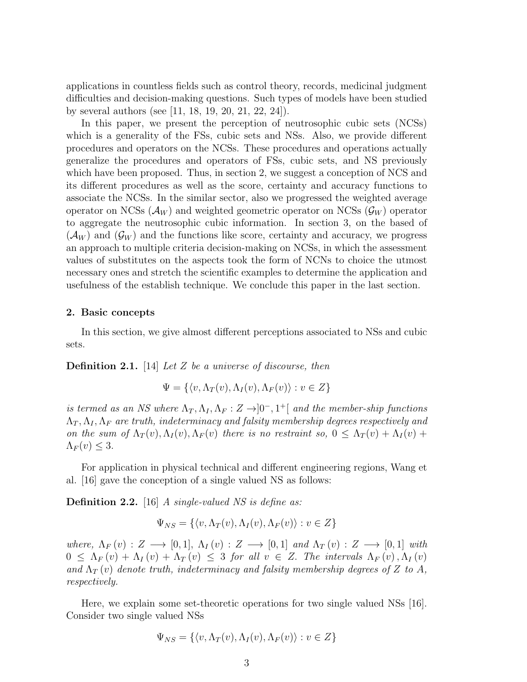applications in countless fields such as control theory, records, medicinal judgment difficulties and decision-making questions. Such types of models have been studied by several authors (see [11, 18, 19, 20, 21, 22, 24]).

In this paper, we present the perception of neutrosophic cubic sets (NCSs) which is a generality of the FSs, cubic sets and NSs. Also, we provide different procedures and operators on the NCSs. These procedures and operations actually generalize the procedures and operators of FSs, cubic sets, and NS previously which have been proposed. Thus, in section 2, we suggest a conception of NCS and its different procedures as well as the score, certainty and accuracy functions to associate the NCSs. In the similar sector, also we progressed the weighted average operator on NCSs  $(\mathcal{A}_{W})$  and weighted geometric operator on NCSs  $(\mathcal{G}_{W})$  operator to aggregate the neutrosophic cubic information. In section 3, on the based of  $(\mathcal{A}_{W})$  and  $(\mathcal{G}_{W})$  and the functions like score, certainty and accuracy, we progress an approach to multiple criteria decision-making on NCSs, in which the assessment values of substitutes on the aspects took the form of NCNs to choice the utmost necessary ones and stretch the scientific examples to determine the application and usefulness of the establish technique. We conclude this paper in the last section.

#### 2. Basic concepts

In this section, we give almost different perceptions associated to NSs and cubic sets.

**Definition 2.1.** [14] Let Z be a universe of discourse, then

$$
\Psi = \{ \langle v, \Lambda_T(v), \Lambda_I(v), \Lambda_F(v) \rangle : v \in Z \}
$$

is termed as an NS where  $\Lambda_T, \Lambda_I, \Lambda_F : Z \rightarrow ]0^-, 1^+]$  and the member-ship functions  $\Lambda_T, \Lambda_I, \Lambda_F$  are truth, indeterminacy and falsity membership degrees respectively and on the sum of  $\Lambda_T(v), \Lambda_I(v), \Lambda_F(v)$  there is no restraint so,  $0 \leq \Lambda_T(v) + \Lambda_I(v) +$  $\Lambda_F(v) \leq 3.$ 

For application in physical technical and different engineering regions, Wang et al. [16] gave the conception of a single valued NS as follows:

**Definition 2.2.** [16] A single-valued NS is define as:

$$
\Psi_{NS} = \{ \langle v, \Lambda_T(v), \Lambda_I(v), \Lambda_F(v) \rangle : v \in Z \}
$$

where,  $\Lambda_F(v) : Z \longrightarrow [0,1], \Lambda_I(v) : Z \longrightarrow [0,1]$  and  $\Lambda_T(v) : Z \longrightarrow [0,1]$  with  $0 \leq \Lambda_F(v) + \Lambda_I(v) + \Lambda_T(v) \leq 3$  for all  $v \in Z$ . The intervals  $\Lambda_F(v), \Lambda_I(v)$ and  $\Lambda_T(v)$  denote truth, indeterminacy and falsity membership degrees of Z to A, respectively.

Here, we explain some set-theoretic operations for two single valued NSs [16]. Consider two single valued NSs

$$
\Psi_{NS} = \{ \langle v, \Lambda_T(v), \Lambda_I(v), \Lambda_F(v) \rangle : v \in Z \}
$$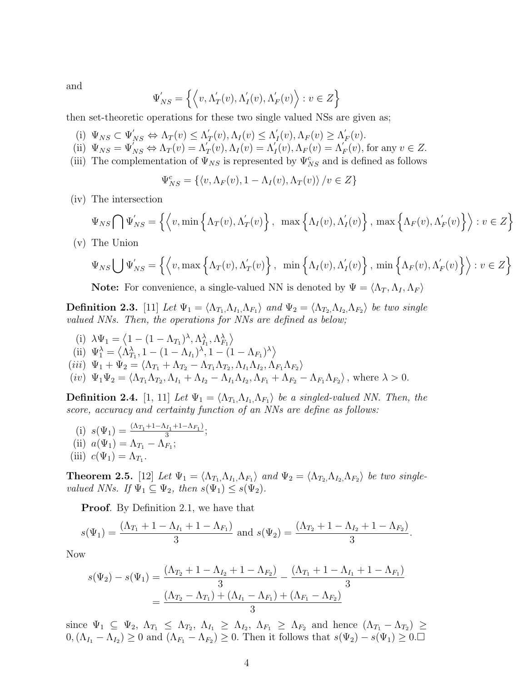and

$$
\Psi_{NS}^{'} = \left\{ \left\langle v, \Lambda_{T}^{'}(v), \Lambda_{I}^{'}(v), \Lambda_{F}^{'}(v) \right\rangle : v \in Z \right\}
$$

then set-theoretic operations for these two single valued NSs are given as;

- (i)  $\Psi_{NS} \subset \Psi'_{NS} \Leftrightarrow \Lambda_T(v) \leq \Lambda'_T$  $\Lambda_T'(v), \Lambda_I(v) \leq \Lambda_I'$  $\Lambda_I^{'}(v), \Lambda_F(v) \geq \Lambda_I^{'}$  $\mathcal{L}_F(v).$
- (ii)  $\Psi_{NS} = \Psi'_{NS} \Leftrightarrow \Lambda_T(v) = \Lambda'_T(v), \Lambda_I(v) = \Lambda'_I(v), \Lambda_F(v) = \Lambda'_F(v)$ , for any  $v \in Z$ .
- (iii) The complementation of  $\Psi_{NS}$  is represented by  $\Psi_{NS}^c$  and is defined as follows

$$
\Psi_{NS}^c = \{ \langle v, \Lambda_F(v), 1 - \Lambda_I(v), \Lambda_T(v) \rangle / v \in Z \}
$$

(iv) The intersection

$$
\Psi_{NS} \bigcap \Psi'_{NS} = \left\{ \left\langle v, \min \left\{ \Lambda_T(v), \Lambda'_T(v) \right\}, \max \left\{ \Lambda_I(v), \Lambda'_I(v) \right\}, \max \left\{ \Lambda_F(v), \Lambda'_F(v) \right\} \right\rangle : v \in Z \right\}
$$

(v) The Union

$$
\Psi_{NS} \bigcup \Psi'_{NS} = \left\{ \left\langle v, \max \left\{ \Lambda_T(v), \Lambda'_T(v) \right\}, \min \left\{ \Lambda_I(v), \Lambda'_I(v) \right\}, \min \left\{ \Lambda_F(v), \Lambda'_F(v) \right\} \right\} : v \in Z \right\}
$$

**Note:** For convenience, a single-valued NN is denoted by  $\Psi = \langle \Lambda_T, \Lambda_I, \Lambda_F \rangle$ 

**Definition 2.3.** [11] Let  $\Psi_1 = \langle \Lambda_{T_1}, \Lambda_{I_1}, \Lambda_{F_1} \rangle$  and  $\Psi_2 = \langle \Lambda_{T_2}, \Lambda_{I_2}, \Lambda_{F_2} \rangle$  be two single valued NNs. Then, the operations for NNs are defined as below;

(i)  $\lambda \Psi_1 = \langle 1 - (1 - \Lambda_{T_1})^{\lambda}, \Lambda_{T_1}^{\lambda}, \Lambda_{F_1}^{\lambda} \rangle$ (ii)  $\Psi_1^{\lambda} = \left\langle \Lambda_{T_1}^{\lambda}, 1 - (1 - \Lambda_{I_1})^{\lambda}, 1 - (1 - \Lambda_{F_1})^{\lambda} \right\rangle$ (iii)  $\Psi_1 + \Psi_2 = \langle \Lambda_{T_1} + \Lambda_{T_2} - \Lambda_{T_1} \Lambda_{T_2}, \Lambda_{I_1} \Lambda_{I_2}, \Lambda_{F_1} \Lambda_{F_2} \rangle$  $(iv) \Psi_1 \Psi_2 = \langle \Lambda_{T_1} \Lambda_{T_2}, \Lambda_{I_1} + \Lambda_{I_2} - \Lambda_{I_1} \Lambda_{I_2}, \Lambda_{F_1} + \Lambda_{F_2} - \Lambda_{F_1} \Lambda_{F_2} \rangle$ , where  $\lambda > 0$ .

**Definition 2.4.** [1, 11] Let  $\Psi_1 = \langle \Lambda_{T_1}, \Lambda_{T_1}, \Lambda_{F_1} \rangle$  be a singled-valued NN. Then, the score, accuracy and certainty function of an NNs are define as follows:

(i)  $s(\Psi_1) = \frac{(\Lambda_{T_1} + 1 - \Lambda_{T_1} + 1 - \Lambda_{F_1})}{3}$  $\frac{I_1+1-\Lambda F_1}{3};$ (ii)  $a(\Psi_1) = \Lambda_{T_1} - \Lambda_{F_1};$ (iii)  $c(\Psi_1) = \Lambda_{T_1}$ .

**Theorem 2.5.** [12] Let  $\Psi_1 = \langle \Lambda_{T_1}, \Lambda_{I_1}, \Lambda_{F_1} \rangle$  and  $\Psi_2 = \langle \Lambda_{T_2}, \Lambda_{I_2}, \Lambda_{F_2} \rangle$  be two singlevalued NNs. If  $\Psi_1 \subseteq \Psi_2$ , then  $s(\Psi_1) \leq s(\Psi_2)$ .

Proof. By Definition 2.1, we have that

$$
s(\Psi_1) = \frac{(\Lambda_{T_1} + 1 - \Lambda_{I_1} + 1 - \Lambda_{F_1})}{3}
$$
 and  $s(\Psi_2) = \frac{(\Lambda_{T_2} + 1 - \Lambda_{I_2} + 1 - \Lambda_{F_2})}{3}$ .

Now

$$
s(\Psi_2) - s(\Psi_1) = \frac{(\Lambda_{T_2} + 1 - \Lambda_{I_2} + 1 - \Lambda_{F_2})}{3} - \frac{(\Lambda_{T_1} + 1 - \Lambda_{I_1} + 1 - \Lambda_{F_1})}{3}
$$
  
= 
$$
\frac{(\Lambda_{T_2} - \Lambda_{T_1}) + (\Lambda_{I_1} - \Lambda_{F_1}) + (\Lambda_{F_1} - \Lambda_{F_2})}{3}
$$

since  $\Psi_1 \subseteq \Psi_2$ ,  $\Lambda_{T_1} \leq \Lambda_{T_2}$ ,  $\Lambda_{I_1} \geq \Lambda_{I_2}$ ,  $\Lambda_{F_1} \geq \Lambda_{F_2}$  and hence  $(\Lambda_{T_1} - \Lambda_{T_2}) \geq$  $0,(\Lambda_{I_1}-\Lambda_{I_2})\geq 0$  and  $(\Lambda_{F_1}-\Lambda_{F_2})\geq 0$ . Then it follows that  $s(\Psi_2)-s(\Psi_1)\geq 0$ .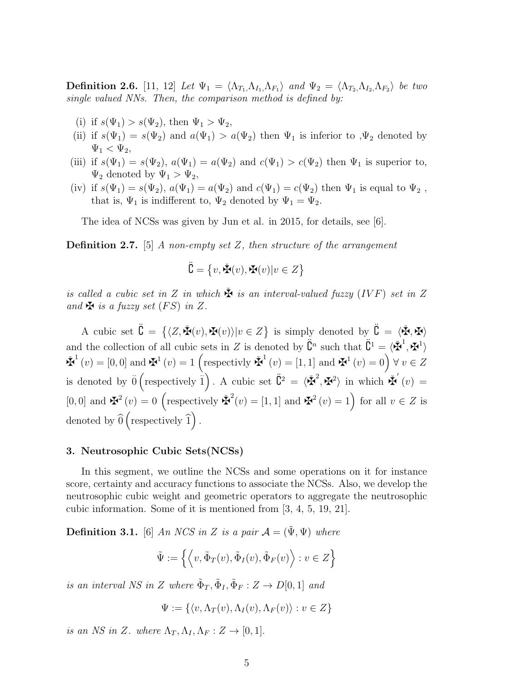**Definition 2.6.** [11, 12] Let  $\Psi_1 = \langle \Lambda_{T_1}, \Lambda_{I_1}, \Lambda_{F_1} \rangle$  and  $\Psi_2 = \langle \Lambda_{T_2}, \Lambda_{I_2}, \Lambda_{F_2} \rangle$  be two single valued NNs. Then, the comparison method is defined by:

- (i) if  $s(\Psi_1) > s(\Psi_2)$ , then  $\Psi_1 > \Psi_2$ ,
- (ii) if  $s(\Psi_1) = s(\Psi_2)$  and  $a(\Psi_1) > a(\Psi_2)$  then  $\Psi_1$  is inferior to  $\Psi_2$  denoted by  $\Psi_1 < \Psi_2$ ,
- (iii) if  $s(\Psi_1) = s(\Psi_2)$ ,  $a(\Psi_1) = a(\Psi_2)$  and  $c(\Psi_1) > c(\Psi_2)$  then  $\Psi_1$  is superior to,  $\Psi_2$  denoted by  $\Psi_1 > \Psi_2$ ,
- (iv) if  $s(\Psi_1) = s(\Psi_2)$ ,  $a(\Psi_1) = a(\Psi_2)$  and  $c(\Psi_1) = c(\Psi_2)$  then  $\Psi_1$  is equal to  $\Psi_2$ , that is,  $\Psi_1$  is indifferent to,  $\Psi_2$  denoted by  $\Psi_1 = \Psi_2$ .

The idea of NCSs was given by Jun et al. in 2015, for details, see [6].

**Definition 2.7.** [5] A non-empty set  $Z$ , then structure of the arrangement

$$
\ddot{\mathbf{C}} = \left\{ v, \check{\mathbf{H}}(v), \mathbf{H}(v) | v \in Z \right\}
$$

is called a cubic set in Z in which  $\check{\mathbf{H}}$  is an interval-valued fuzzy (IVF) set in Z and  $\blacktriangleright$  is a fuzzy set  $(FS)$  in Z.

A cubic set  $\ddot{\mathbf{C}} = \{ \langle Z, \check{\mathbf{X}}(v), \mathbf{X}(v) \rangle | v \in Z \}$  is simply denoted by  $\ddot{\mathbf{C}} = \langle \check{\mathbf{X}}, \mathbf{X} \rangle$ and the collection of all cubic sets in Z is denoted by  $\ddot{\mathbf{C}}^n$  such that  $\ddot{\mathbf{C}}^1 = \langle \ddot{\mathbf{A}}^1, \mathbf{A}^1 \rangle$  $\check{\mathbf{H}}^1(v) = [0,0]$  and  $\mathbf{H}^1(v) = 1$  (respectivly  $\check{\mathbf{H}}^1(v) = [1,1]$  and  $\mathbf{H}^1(v) = 0$ )  $\forall v \in Z$ is denoted by  $\ddot{0}$  (respectively  $\ddot{1}$ ). A cubic set  $\ddot{C}^2 = \langle \ddot{\mathbf{\mathbf{X}}}^2, \mathbf{\mathbf{X}}^2 \rangle$  in which  $\ddot{\mathbf{\mathbf{X}}}^{\prime}(v)$  =  $[0,0]$  and  $\mathbf{\dot{H}}^2(v) = 0$  (respectively  $\mathbf{\dot{H}}^2(v) = [1,1]$  and  $\mathbf{\dot{H}}^2(v) = 1$ ) for all  $v \in Z$  is denoted by  $\widehat{0}$  (respectively  $\widehat{1}$ ).

# 3. Neutrosophic Cubic Sets(NCSs)

In this segment, we outline the NCSs and some operations on it for instance score, certainty and accuracy functions to associate the NCSs. Also, we develop the neutrosophic cubic weight and geometric operators to aggregate the neutrosophic cubic information. Some of it is mentioned from [3, 4, 5, 19, 21].

**Definition 3.1.** [6] An NCS in Z is a pair  $\mathcal{A} = (\tilde{\Psi}, \Psi)$  where

$$
\tilde{\Psi} := \left\{ \left\langle v, \tilde{\Phi}_T(v), \tilde{\Phi}_I(v), \tilde{\Phi}_F(v) \right\rangle : v \in Z \right\}
$$

is an interval NS in Z where  $\tilde{\Phi}_T$ ,  $\tilde{\Phi}_I$ ,  $\tilde{\Phi}_F$  :  $Z \to D[0, 1]$  and

$$
\Psi := \{ \langle v, \Lambda_T(v), \Lambda_I(v), \Lambda_F(v) \rangle : v \in Z \}
$$

is an NS in Z. where  $\Lambda_T, \Lambda_I, \Lambda_F : Z \to [0, 1].$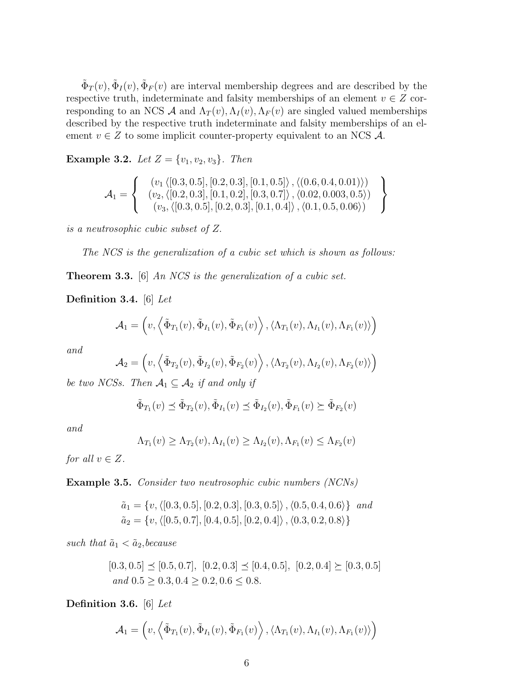$\tilde{\Phi}_T(v), \tilde{\Phi}_I(v), \tilde{\Phi}_F(v)$  are interval membership degrees and are described by the respective truth, indeterminate and falsity memberships of an element  $v \in Z$  corresponding to an NCS A and  $\Lambda_T(v), \Lambda_I(v), \Lambda_F(v)$  are singled valued memberships described by the respective truth indeterminate and falsity memberships of an element  $v \in Z$  to some implicit counter-property equivalent to an NCS A.

**Example 3.2.** Let  $Z = \{v_1, v_2, v_3\}$ . Then

$$
\mathcal{A}_1 = \left\{ \begin{array}{c} (v_1 \langle [0.3, 0.5], [0.2, 0.3], [0.1, 0.5] \rangle, \langle (0.6, 0.4, 0.01) \rangle) \\ (v_2, \langle [0.2, 0.3], [0.1, 0.2], [0.3, 0.7] \rangle, \langle 0.02, 0.003, 0.5 \rangle) \\ (v_3, \langle [0.3, 0.5], [0.2, 0.3], [0.1, 0.4] \rangle, \langle 0.1, 0.5, 0.06 \rangle) \end{array} \right\}
$$

is a neutrosophic cubic subset of Z.

The NCS is the generalization of a cubic set which is shown as follows:

**Theorem 3.3.** [6] An NCS is the generalization of a cubic set.

Definition 3.4. [6] Let

$$
\mathcal{A}_1 = \left(v, \left\langle \tilde{\Phi}_{T_1}(v), \tilde{\Phi}_{I_1}(v), \tilde{\Phi}_{F_1}(v) \right\rangle, \left\langle \Lambda_{T_1}(v), \Lambda_{I_1}(v), \Lambda_{F_1}(v) \right\rangle \right)
$$

and

$$
\mathcal{A}_2 = \left(v, \left\langle \tilde{\Phi}_{T_2}(v), \tilde{\Phi}_{I_2}(v), \tilde{\Phi}_{F_2}(v) \right\rangle, \left\langle \Lambda_{T_2}(v), \Lambda_{I_2}(v), \Lambda_{F_2}(v) \right\rangle \right)
$$

be two NCSs. Then  $A_1 \subseteq A_2$  if and only if

$$
\tilde{\Phi}_{T_1}(v) \preceq \tilde{\Phi}_{T_2}(v), \tilde{\Phi}_{I_1}(v) \preceq \tilde{\Phi}_{I_2}(v), \tilde{\Phi}_{F_1}(v) \succeq \tilde{\Phi}_{F_2}(v)
$$

and

$$
\Lambda_{T_1}(v) \geq \Lambda_{T_2}(v), \Lambda_{I_1}(v) \geq \Lambda_{I_2}(v), \Lambda_{F_1}(v) \leq \Lambda_{F_2}(v)
$$

for all  $v \in Z$ .

Example 3.5. Consider two neutrosophic cubic numbers (NCNs)

$$
\tilde{a}_1 = \{v, \langle [0.3, 0.5], [0.2, 0.3], [0.3, 0.5] \rangle, \langle 0.5, 0.4, 0.6 \rangle \} \text{ and } \tilde{a}_2 = \{v, \langle [0.5, 0.7], [0.4, 0.5], [0.2, 0.4] \rangle, \langle 0.3, 0.2, 0.8 \rangle \}
$$

such that  $\tilde{a}_1 < \tilde{a}_2$ , because

 $[0.3, 0.5] \preceq [0.5, 0.7], [0.2, 0.3] \preceq [0.4, 0.5], [0.2, 0.4] \succeq [0.3, 0.5]$ and  $0.5 \ge 0.3, 0.4 \ge 0.2, 0.6 \le 0.8$ .

Definition 3.6. [6] Let

$$
\mathcal{A}_1 = \left(v, \left\langle \tilde{\Phi}_{T_1}(v), \tilde{\Phi}_{T_1}(v), \tilde{\Phi}_{F_1}(v) \right\rangle, \left\langle \Lambda_{T_1}(v), \Lambda_{T_1}(v), \Lambda_{F_1}(v) \right\rangle \right)
$$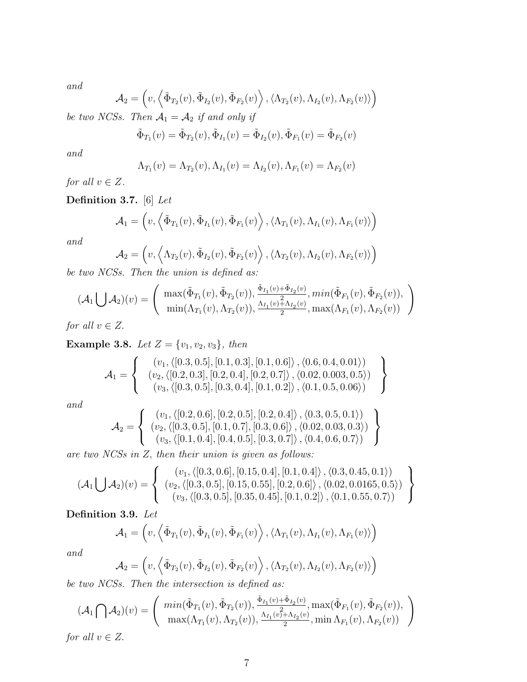and

$$
\mathcal{A}_2 = \left(v, \left\langle \tilde{\Phi}_{T_2}(v), \tilde{\Phi}_{I_2}(v), \tilde{\Phi}_{F_2}(v) \right\rangle, \left\langle \Lambda_{T_2}(v), \Lambda_{I_2}(v), \Lambda_{F_2}(v) \right\rangle \right)
$$
  
CC<sub>2</sub> The graph of each value if

be two NCSs. Then  $A_1 = A_2$  if and only if

$$
\tilde{\Phi}_{T_1}(v) = \tilde{\Phi}_{T_2}(v), \tilde{\Phi}_{I_1}(v) = \tilde{\Phi}_{I_2}(v), \tilde{\Phi}_{F_1}(v) = \tilde{\Phi}_{F_2}(v)
$$

and

$$
\Lambda_{T_1}(v) = \Lambda_{T_2}(v), \Lambda_{I_1}(v) = \Lambda_{I_2}(v), \Lambda_{F_1}(v) = \Lambda_{F_2}(v)
$$

for all  $v \in Z$ .

Definition 3.7. [6] Let

$$
\mathcal{A}_1 = \left(v, \left\langle \tilde{\Phi}_{T_1}(v), \tilde{\Phi}_{I_1}(v), \tilde{\Phi}_{F_1}(v) \right\rangle, \left\langle \Lambda_{T_1}(v), \Lambda_{I_1}(v), \Lambda_{F_1}(v) \right\rangle \right)
$$

and

$$
\mathcal{A}_2 = \left(v, \left\langle \Lambda_{T_2}(v), \tilde{\Phi}_{I_2}(v), \tilde{\Phi}_{F_2}(v) \right\rangle, \left\langle \Lambda_{T_2}(v), \Lambda_{I_2}(v), \Lambda_{F_2}(v) \right\rangle\right)
$$

be two NCSs. Then the union is defined as:

$$
(\mathcal{A}_1 \bigcup \mathcal{A}_2)(v) = \begin{pmatrix} \max(\tilde{\Phi}_{T_1}(v), \tilde{\Phi}_{T_2}(v)), \frac{\tilde{\Phi}_{I_1}(v) + \tilde{\Phi}_{I_2}(v)}{2}, min(\tilde{\Phi}_{F_1}(v), \tilde{\Phi}_{F_2}(v)), \\ \min(\Lambda_{T_1}(v), \Lambda_{T_2}(v)), \frac{\Lambda_{I_1}(v) + \Lambda_{I_2}(v)}{2}, max(\Lambda_{F_1}(v), \Lambda_{F_2}(v)) \end{pmatrix}
$$

for all  $v \in Z$ .

**Example 3.8.** Let  $Z = \{v_1, v_2, v_3\}$ , then

$$
\mathcal{A}_1 = \begin{cases} & (v_1, \langle [0.3, 0.5], [0.1, 0.3], [0.1, 0.6] \rangle, \langle 0.6, 0.4, 0.01 \rangle) \\ & (v_2, \langle [0.2, 0.3], [0.2, 0.4], [0.2, 0.7] \rangle, \langle 0.02, 0.003, 0.5 \rangle) \\ & (v_3, \langle [0.3, 0.5], [0.3, 0.4], [0.1, 0.2] \rangle, \langle 0.1, 0.5, 0.06 \rangle) \end{cases}
$$

 $\mathcal{L}$  $\mathcal{L}$ 

 $\int$ 

and

$$
\mathcal{A}_2 = \left\{ \begin{array}{c} (v_1, \langle [0.2, 0.6], [0.2, 0.5], [0.2, 0.4] \rangle, \langle 0.3, 0.5, 0.1 \rangle) \\ (v_2, \langle [0.3, 0.5], [0.1, 0.7], [0.3, 0.6] \rangle, \langle 0.02, 0.03, 0.3 \rangle) \\ (v_3, \langle [0.1, 0.4], [0.4, 0.5], [0.3, 0.7] \rangle, \langle 0.4, 0.6, 0.7 \rangle) \end{array} \right\}
$$

are two NCSs in Z, then their union is given as follows:

$$
(\mathcal{A}_1 \bigcup \mathcal{A}_2)(v) = \left\{ \begin{array}{c} (v_1, \langle [0.3, 0.6], [0.15, 0.4], [0.1, 0.4] \rangle, \langle 0.3, 0.45, 0.1 \rangle) \\ (v_2, \langle [0.3, 0.5], [0.15, 0.55], [0.2, 0.6] \rangle, \langle 0.02, 0.0165, 0.5 \rangle) \\ (v_3, \langle [0.3, 0.5], [0.35, 0.45], [0.1, 0.2] \rangle, \langle 0.1, 0.55, 0.7 \rangle) \end{array} \right\}
$$

Definition 3.9. Let

$$
\mathcal{A}_1 = \left(v, \left\langle \tilde{\Phi}_{T_1}(v), \tilde{\Phi}_{I_1}(v), \tilde{\Phi}_{F_1}(v) \right\rangle, \left\langle \Lambda_{T_1}(v), \Lambda_{I_1}(v), \Lambda_{F_1}(v) \right\rangle \right)
$$

and

$$
\mathcal{A}_2 = \left(v, \left\langle \tilde{\Phi}_{T_2}(v), \tilde{\Phi}_{I_2}(v), \tilde{\Phi}_{F_2}(v) \right\rangle, \left\langle \Lambda_{T_2}(v), \Lambda_{I_2}(v), \Lambda_{F_2}(v) \right\rangle \right)
$$

be two NCSs. Then the intersection is defined as:

$$
(\mathcal{A}_1 \bigcap \mathcal{A}_2)(v) = \begin{pmatrix} min(\tilde{\Phi}_{T_1}(v), \tilde{\Phi}_{T_2}(v)), \frac{\tilde{\Phi}_{I_1}(v) + \tilde{\Phi}_{I_2}(v)}{2}, \max(\tilde{\Phi}_{F_1}(v), \tilde{\Phi}_{F_2}(v)), \\ \max(\Lambda_{T_1}(v), \Lambda_{T_2}(v)), \frac{\Lambda_{I_1}(v) + \Lambda_{I_2}(v)}{2}, \min \Lambda_{F_1}(v), \Lambda_{F_2}(v)) \end{pmatrix}
$$
  
for all  $v \in Z$ .

7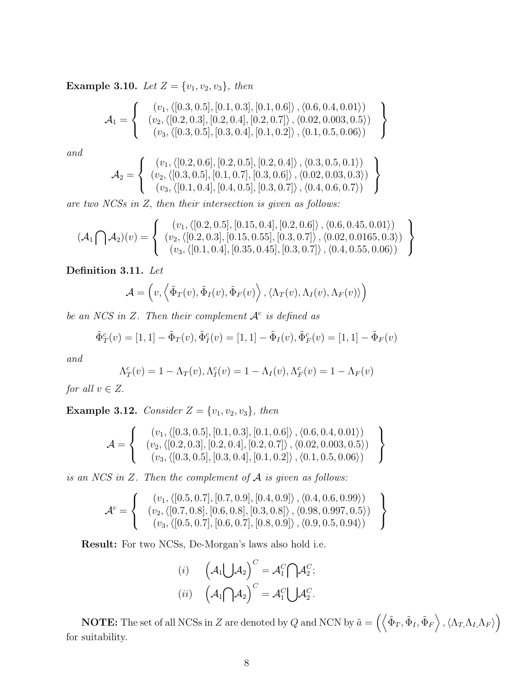**Example 3.10.** Let  $Z = \{v_1, v_2, v_3\}$ , then

$$
\mathcal{A}_1 = \left\{ \begin{array}{c} (v_1, \langle [0.3, 0.5], [0.1, 0.3], [0.1, 0.6] \rangle, \langle 0.6, 0.4, 0.01 \rangle) \\ (v_2, \langle [0.2, 0.3], [0.2, 0.4], [0.2, 0.7] \rangle, \langle 0.02, 0.003, 0.5 \rangle) \\ (v_3, \langle [0.3, 0.5], [0.3, 0.4], [0.1, 0.2] \rangle, \langle 0.1, 0.5, 0.06 \rangle) \end{array} \right.
$$

 $\mathcal{L}$  $\mathcal{L}$ 

 $\int$ 

and

$$
\mathcal{A}_2 = \left\{ \begin{array}{c} (v_1, \langle [0.2, 0.6], [0.2, 0.5], [0.2, 0.4] \rangle, \langle 0.3, 0.5, 0.1 \rangle) \\ (v_2, \langle [0.3, 0.5], [0.1, 0.7], [0.3, 0.6] \rangle, \langle 0.02, 0.03, 0.3 \rangle) \\ (v_3, \langle [0.1, 0.4], [0.4, 0.5], [0.3, 0.7] \rangle, \langle 0.4, 0.6, 0.7 \rangle) \end{array} \right\}
$$

are two NCSs in Z, then their intersection is given as follows:

$$
(\mathcal{A}_1 \bigcap \mathcal{A}_2)(v) = \left\{ \begin{array}{c} (v_1, \langle [0.2, 0.5], [0.15, 0.4], [0.2, 0.6] \rangle, \langle 0.6, 0.45, 0.01 \rangle) \\ (v_2, \langle [0.2, 0.3], [0.15, 0.55], [0.3, 0.7] \rangle, \langle 0.02, 0.0165, 0.3 \rangle) \\ (v_3, \langle [0.1, 0.4], [0.35, 0.45], [0.3, 0.7] \rangle, \langle 0.4, 0.55, 0.06 \rangle) \end{array} \right\}
$$

Definition 3.11. Let

$$
\mathcal{A} = \left(v, \left\langle \tilde{\Phi}_T(v), \tilde{\Phi}_I(v), \tilde{\Phi}_F(v) \right\rangle, \left\langle \Lambda_T(v), \Lambda_I(v), \Lambda_F(v) \right\rangle \right)
$$

be an NCS in Z. Then their complement  $A<sup>c</sup>$  is defined as

$$
\tilde{\Phi}_T^c(v) = [1, 1] - \tilde{\Phi}_T(v), \tilde{\Phi}_I^c(v) = [1, 1] - \tilde{\Phi}_I(v), \tilde{\Phi}_F^c(v) = [1, 1] - \tilde{\Phi}_F(v)
$$

and

$$
\Lambda_T^c(v) = 1 - \Lambda_T(v), \Lambda_T^c(v) = 1 - \Lambda_I(v), \Lambda_F^c(v) = 1 - \Lambda_F(v)
$$

for all  $v \in Z$ .

**Example 3.12.** Consider  $Z = \{v_1, v_2, v_3\}$ , then

$$
\mathcal{A} = \left\{ \begin{array}{c} (v_1, \langle [0.3, 0.5], [0.1, 0.3], [0.1, 0.6] \rangle, \langle 0.6, 0.4, 0.01 \rangle) \\ (v_2, \langle [0.2, 0.3], [0.2, 0.4], [0.2, 0.7] \rangle, \langle 0.02, 0.003, 0.5 \rangle) \\ (v_3, \langle [0.3, 0.5], [0.3, 0.4], [0.1, 0.2] \rangle, \langle 0.1, 0.5, 0.06 \rangle) \end{array} \right\}
$$

is an NCS in  $Z$ . Then the complement of  $A$  is given as follows:

$$
\mathcal{A}^{c} = \left\{ \begin{array}{c} (v_1, \langle [0.5, 0.7], [0.7, 0.9], [0.4, 0.9] \rangle, \langle 0.4, 0.6, 0.99 \rangle) \\ (v_2, \langle [0.7, 0.8], [0.6, 0.8], [0.3, 0.8] \rangle, \langle 0.98, 0.997, 0.5 \rangle) \\ (v_3, \langle [0.5, 0.7], [0.6, 0.7], [0.8, 0.9] \rangle, \langle 0.9, 0.5, 0.94 \rangle) \end{array} \right\}
$$

Result: For two NCSs, De-Morgan's laws also hold i.e.

(i) 
$$
(A_1 \bigcup A_2)^C = A_1^C \bigcap A_2^C;
$$
  
\n(ii)  $(A_1 \bigcap A_2)^C = A_1^C \bigcup A_2^C.$ 

**NOTE:** The set of all NCSs in Z are denoted by Q and NCN by  $\tilde{a} = \left( \left\langle \tilde{\Phi}_T, \tilde{\Phi}_I, \tilde{\Phi}_F \right\rangle, \left\langle \Lambda_T, \Lambda_I, \Lambda_F \right\rangle \right)$ for suitability.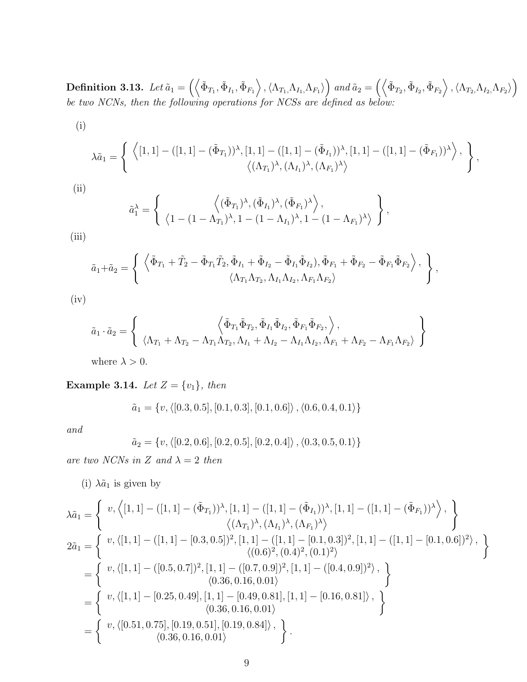Definition 3.13. Let  $\tilde{a}_1=\left(\left\langle\tilde{\Phi}_{T_1},\tilde{\Phi}_{F_1},\tilde{\Phi}_{F_1}\right\rangle,\left\langle\Lambda_{T_1},\Lambda_{I_1},\Lambda_{F_1}\right\rangle\right)$  and  $\tilde{a}_2=\left(\left\langle\tilde{\Phi}_{T_2},\tilde{\Phi}_{I_2},\tilde{\Phi}_{F_2}\right\rangle,\left\langle\Lambda_{T_2},\Lambda_{I_2},\Lambda_{F_2}\right\rangle\right)$ be two NCNs, then the following operations for NCSs are defined as below:

(i)

$$
\lambda \tilde{a}_1 = \left\{ \begin{array}{c} \left\langle [1,1] - ([1,1] - (\tilde{\Phi}_{T_1}))^{\lambda}, [1,1] - ([1,1] - (\tilde{\Phi}_{I_1}))^{\lambda}, [1,1] - ([1,1] - (\tilde{\Phi}_{F_1}))^{\lambda} \right\rangle, \\ \left\langle (\Lambda_{T_1})^{\lambda}, (\Lambda_{I_1})^{\lambda}, (\Lambda_{F_1})^{\lambda} \right\rangle \end{array} \right\},
$$

$$
(ii)
$$

(iii)

$$
\tilde{a}_1^{\lambda} = \left\{ \begin{array}{c} \left\langle (\tilde{\Phi}_{T_1})^{\lambda}, (\tilde{\Phi}_{I_1})^{\lambda}, (\tilde{\Phi}_{F_1})^{\lambda} \right\rangle, \\ \left\langle 1 - (1 - \Lambda_{T_1})^{\lambda}, 1 - (1 - \Lambda_{I_1})^{\lambda}, 1 - (1 - \Lambda_{F_1})^{\lambda} \right\rangle \end{array} \right\},
$$

$$
\tilde{a}_1 + \tilde{a}_2 = \left\{ \begin{array}{c} \left\langle \tilde{\Phi}_{T_1} + \tilde{T}_2 - \tilde{\Phi}_{T_1} \tilde{T}_2, \tilde{\Phi}_{I_1} + \tilde{\Phi}_{I_2} - \tilde{\Phi}_{I_1} \tilde{\Phi}_{I_2}, \tilde{\Phi}_{F_1} + \tilde{\Phi}_{F_2} - \tilde{\Phi}_{F_1} \tilde{\Phi}_{F_2} \right\rangle, \\ \left\langle \Lambda_{T_1} \Lambda_{T_2}, \Lambda_{I_1} \Lambda_{I_2}, \Lambda_{F_1} \Lambda_{F_2} \right\rangle \end{array} \right\},
$$

(iv)

$$
\tilde{a}_1 \cdot \tilde{a}_2 = \begin{Bmatrix} \begin{array}{c} \left\langle \tilde{\Phi}_{T_1} \tilde{\Phi}_{T_2}, \tilde{\Phi}_{I_1} \tilde{\Phi}_{I_2}, \tilde{\Phi}_{F_1} \tilde{\Phi}_{F_2}, \right\rangle, \\ \left\langle \Lambda_{T_1} + \Lambda_{T_2} - \Lambda_{T_1} \Lambda_{T_2}, \Lambda_{I_1} + \Lambda_{I_2} - \Lambda_{I_1} \Lambda_{I_2}, \Lambda_{F_1} + \Lambda_{F_2} - \Lambda_{F_1} \Lambda_{F_2} \right\rangle \end{array} \end{Bmatrix}
$$

where  $\lambda > 0$ .

Example 3.14. Let  $Z = \{v_1\}$ , then

$$
\tilde{a}_1 = \{v, \langle [0.3, 0.5], [0.1, 0.3], [0.1, 0.6] \rangle, \langle 0.6, 0.4, 0.1 \rangle\}
$$

and

$$
\tilde{a}_2 = \{v, \langle [0.2, 0.6], [0.2, 0.5], [0.2, 0.4] \rangle, \langle 0.3, 0.5, 0.1 \rangle\}
$$

are two NCNs in Z and  $\lambda = 2$  then

(i)  $\lambda \tilde{a}_1$  is given by

$$
\lambda \tilde{a}_1 = \begin{cases}\nv, \left\langle [1,1] - ([1,1] - (\tilde{\Phi}_{T_1}))^\lambda, [1,1] - ([1,1] - (\tilde{\Phi}_{T_1}))^\lambda, [1,1] - ([1,1] - (\tilde{\Phi}_{F_1}))^\lambda \right\rangle, \\
\left\langle (\Lambda_{T_1})^\lambda, (\Lambda_{T_1})^\lambda, (\Lambda_{F_1})^\lambda \right\rangle \\
2\tilde{a}_1 = \begin{cases}\nv, \langle [1,1] - ([1,1] - [0.3, 0.5])^2, [1,1] - ([1,1] - [0.1, 0.3])^2, [1,1] - ([1,1] - [0.1, 0.6])^2 \rangle, \\
\langle (0.6)^2, (0.4)^2, (0.1)^2 \rangle\n\end{cases} \\
= \begin{cases}\nv, \langle [1,1] - ([0.5, 0.7])^2, [1,1] - ([0.7, 0.9])^2, [1,1] - ([0.4, 0.9])^2 \rangle, \\
\langle 0.36, 0.16, 0.01 \rangle\n\end{cases} \\
= \begin{cases}\nv, \langle [1,1] - [0.25, 0.49], [1,1] - [0.49, 0.81], [1,1] - [0.16, 0.81] \rangle, \\
\langle 0.36, 0.16, 0.01 \rangle\n\end{cases} \\
= \begin{cases}\nv, \langle [0.51, 0.75], [0.19, 0.51], [0.19, 0.84] \rangle, \\
\langle 0.36, 0.16, 0.01 \rangle\n\end{cases} \\
= \begin{cases}\nv, \langle [0.51, 0.75], [0.19, 0.51], [0.19, 0.84] \rangle, \\
\langle 0.36, 0.16, 0.01 \rangle\n\end{cases} \\
= \begin{cases}\nv, \langle [0.51, 0.75], [0.19, 0.51], [0.19, 0.84] \rangle, \\
\langle 0.36, 0.16, 0.01 \rangle\n\end{cases}
$$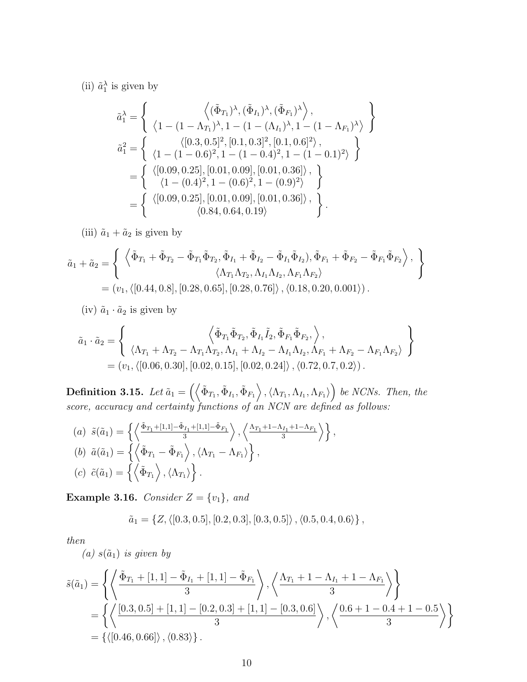(ii)  $\tilde{a}_1^{\lambda}$  is given by

$$
\tilde{a}_{1}^{\lambda} = \begin{Bmatrix}\n\langle (\tilde{\Phi}_{T_{1}})^{\lambda}, (\tilde{\Phi}_{I_{1}})^{\lambda}, (\tilde{\Phi}_{F_{1}})^{\lambda} \rangle, \\
\langle 1 - (1 - \Lambda_{T_{1}})^{\lambda}, 1 - (1 - (\Lambda_{I_{1}})^{\lambda}, 1 - (1 - \Lambda_{F_{1}})^{\lambda} \rangle \end{Bmatrix}
$$
\n
$$
\tilde{a}_{1}^{2} = \begin{Bmatrix}\n\langle [0.3, 0.5]^{2}, [0.1, 0.3]^{2}, [0.1, 0.6]^{2} \rangle, \\
\langle 1 - (1 - 0.6)^{2}, 1 - (1 - 0.4)^{2}, 1 - (1 - 0.1)^{2} \rangle \end{Bmatrix}
$$
\n
$$
= \begin{Bmatrix}\n\langle [0.09, 0.25], [0.01, 0.09], [0.01, 0.36] \rangle, \\
\langle 1 - (0.4)^{2}, 1 - (0.6)^{2}, 1 - (0.9)^{2} \rangle\n\end{Bmatrix}
$$
\n
$$
= \begin{Bmatrix}\n\langle [0.09, 0.25], [0.01, 0.09], [0.01, 0.36] \rangle, \\
\langle 0.84, 0.64, 0.19 \rangle\n\end{Bmatrix}.
$$

(iii)  $\tilde{a}_1 + \tilde{a}_2$  is given by

$$
\tilde{a}_1 + \tilde{a}_2 = \begin{cases}\n\left\langle \tilde{\Phi}_{T_1} + \tilde{\Phi}_{T_2} - \tilde{\Phi}_{T_1} \tilde{\Phi}_{T_2}, \tilde{\Phi}_{I_1} + \tilde{\Phi}_{I_2} - \tilde{\Phi}_{I_1} \tilde{\Phi}_{I_2}, \tilde{\Phi}_{F_1} + \tilde{\Phi}_{F_2} - \tilde{\Phi}_{F_1} \tilde{\Phi}_{F_2} \right\rangle, \\
\left\langle \Lambda_{T_1} \Lambda_{T_2}, \Lambda_{I_1} \Lambda_{I_2}, \Lambda_{F_1} \Lambda_{F_2} \right\rangle \\
= (v_1, \langle [0.44, 0.8], [0.28, 0.65], [0.28, 0.76] \rangle, \langle 0.18, 0.20, 0.001 \rangle).\n\end{cases}
$$

(iv)  $\tilde{a}_1 \cdot \tilde{a}_2$  is given by

$$
\tilde{a}_{1} \cdot \tilde{a}_{2} = \begin{Bmatrix} \left\langle \tilde{\Phi}_{T_{1}} \tilde{\Phi}_{T_{2}}, \tilde{\Phi}_{I_{1}} \tilde{I}_{2}, \tilde{\Phi}_{F_{1}} \tilde{\Phi}_{F_{2}}, \right\rangle, \\ \left\langle \Lambda_{T_{1}} + \Lambda_{T_{2}} - \Lambda_{T_{1}} \Lambda_{T_{2}}, \Lambda_{I_{1}} + \Lambda_{I_{2}} - \Lambda_{I_{1}} \Lambda_{I_{2}}, \Lambda_{F_{1}} + \Lambda_{F_{2}} - \Lambda_{F_{1}} \Lambda_{F_{2}} \right\rangle \end{Bmatrix}
$$
\n
$$
= (v_{1}, \left\langle [0.06, 0.30], [0.02, 0.15], [0.02, 0.24] \right\rangle, \left\langle 0.72, 0.7, 0.2 \right\rangle).
$$

**Definition 3.15.** Let  $\tilde{a}_1 = \left( \left\langle \tilde{\Phi}_{T_1}, \tilde{\Phi}_{I_1}, \tilde{\Phi}_{F_1} \right\rangle, \left\langle \Lambda_{T_1}, \Lambda_{I_1}, \Lambda_{F_1} \right\rangle \right)$  be NCNs. Then, the score, accuracy and certainty functions of an NCN are defined as follows:

(a) 
$$
\tilde{s}(\tilde{a}_1) = \left\{ \left\langle \frac{\tilde{\Phi}_{T_1} + [1,1] - \tilde{\Phi}_{T_1} + [1,1] - \tilde{\Phi}_{F_1}}{3} \right\rangle, \left\langle \frac{\Lambda_{T_1} + 1 - \Lambda_{T_1} + 1 - \Lambda_{F_1}}{3} \right\rangle \right\},
$$
  
\n(b)  $\tilde{a}(\tilde{a}_1) = \left\{ \left\langle \tilde{\Phi}_{T_1} - \tilde{\Phi}_{F_1} \right\rangle, \left\langle \Lambda_{T_1} - \Lambda_{F_1} \right\rangle \right\},$   
\n(c)  $\tilde{c}(\tilde{a}_1) = \left\{ \left\langle \tilde{\Phi}_{T_1} \right\rangle, \left\langle \Lambda_{T_1} \right\rangle \right\}.$ 

**Example 3.16.** Consider  $Z = \{v_1\}$ , and

$$
\tilde{a}_1 = \{Z, \langle [0.3, 0.5], [0.2, 0.3], [0.3, 0.5] \rangle, \langle 0.5, 0.4, 0.6 \rangle \},
$$

then

(a)  $s(\tilde{a}_1)$  is given by

$$
\tilde{s}(\tilde{a}_1) = \left\{ \left\langle \frac{\tilde{\Phi}_{T_1} + [1, 1] - \tilde{\Phi}_{I_1} + [1, 1] - \tilde{\Phi}_{F_1}}{3} \right\rangle, \left\langle \frac{\Lambda_{T_1} + 1 - \Lambda_{I_1} + 1 - \Lambda_{F_1}}{3} \right\rangle \right\}
$$
  
= 
$$
\left\{ \left\langle \frac{[0.3, 0.5] + [1, 1] - [0.2, 0.3] + [1, 1] - [0.3, 0.6]}{3} \right\rangle, \left\langle \frac{0.6 + 1 - 0.4 + 1 - 0.5}{3} \right\rangle \right\}
$$
  
= 
$$
\left\{ \left\langle [0.46, 0.66] \right\rangle, \left\langle 0.83 \right\rangle \right\}.
$$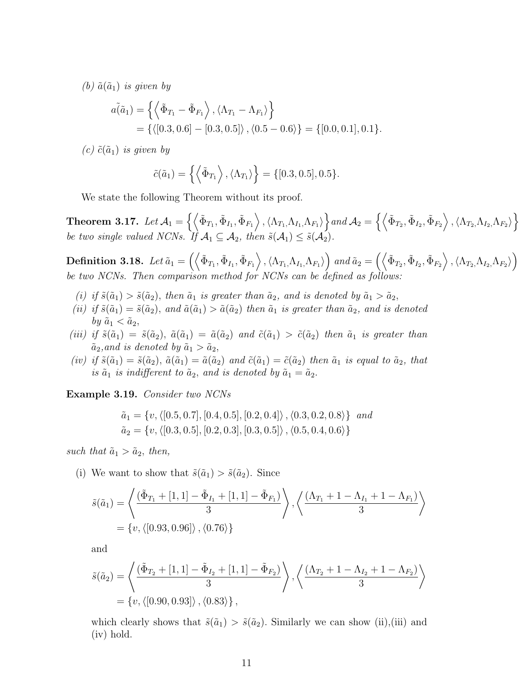(b)  $\tilde{a}(\tilde{a}_1)$  is given by

$$
\tilde{a}(a_1) = \left\{ \left\langle \tilde{\Phi}_{T_1} - \tilde{\Phi}_{F_1} \right\rangle, \left\langle \Lambda_{T_1} - \Lambda_{F_1} \right\rangle \right\} \n= \left\{ \left\langle [0.3, 0.6] - [0.3, 0.5] \right\rangle, \left\langle 0.5 - 0.6 \right\rangle \right\} = \left\{ [0.0, 0.1], 0.1 \right\}.
$$

(c)  $\tilde{c}(\tilde{a}_1)$  is given by

$$
\tilde{c}(\tilde{a}_1) = \left\{ \left\langle \tilde{\Phi}_{T_1} \right\rangle, \left\langle \Lambda_{T_1} \right\rangle \right\} = \left\{ [0.3, 0.5], 0.5 \right\}.
$$

We state the following Theorem without its proof.

 $\textbf{Theorem 3.17.} \ \textit{Let} \ \mathcal{A}_1=\left\{\left<\tilde{\Phi}_{T_1},\tilde{\Phi}_{F_1},\tilde{\Phi}_{F_1}\right>,\left<\Lambda_{T_1},\Lambda_{I_1},\Lambda_{F_1}\right>\right\} \textit{and} \ \mathcal{A}_2=\left\{\left<\tilde{\Phi}_{T_2},\tilde{\Phi}_{I_2},\tilde{\Phi}_{F_2}\right>,\left<\Lambda_{T_2},\Lambda_{I_2},\Lambda_{F_2}\right>\right\}$ be two single valued NCNs. If  $A_1 \subseteq A_2$ , then  $\tilde{s}(A_1) \leq \tilde{s}(A_2)$ .

Definition 3.18. Let  $\tilde{a}_1 = \left( \left\langle \tilde{\Phi}_{T_1}, \tilde{\Phi}_{F_1}, \tilde{\Phi}_{F_1} \right\rangle, \left\langle \Lambda_{T_1}, \Lambda_{I_1}, \Lambda_{F_1} \right\rangle \right)$  and  $\tilde{a}_2 = \left( \left\langle \tilde{\Phi}_{T_2}, \tilde{\Phi}_{I_2}, \tilde{\Phi}_{F_2} \right\rangle, \left\langle \Lambda_{T_2}, \Lambda_{I_2}, \Lambda_{F_2} \right\rangle \right)$ be two NCNs. Then comparison method for NCNs can be defined as follows:

- (i) if  $\tilde{s}(\tilde{a}_1) > \tilde{s}(\tilde{a}_2)$ , then  $\tilde{a}_1$  is greater than  $\tilde{a}_2$ , and is denoted by  $\tilde{a}_1 > \tilde{a}_2$ ,
- (ii) if  $\tilde{s}(\tilde{a}_1) = \tilde{s}(\tilde{a}_2)$ , and  $\tilde{a}(\tilde{a}_1) > \tilde{a}(\tilde{a}_2)$  then  $\tilde{a}_1$  is greater than  $\tilde{a}_2$ , and is denoted by  $\tilde{a}_1 < \tilde{a}_2$ ,
- (iii) if  $\tilde{s}(\tilde{a}_1) = \tilde{s}(\tilde{a}_2)$ ,  $\tilde{a}(\tilde{a}_1) = \tilde{a}(\tilde{a}_2)$  and  $\tilde{c}(\tilde{a}_1) > \tilde{c}(\tilde{a}_2)$  then  $\tilde{a}_1$  is greater than  $\tilde{a}_2$ , and is denoted by  $\tilde{a}_1 > \tilde{a}_2$ ,
- (iv) if  $\tilde{s}(\tilde{a}_1) = \tilde{s}(\tilde{a}_2), \tilde{a}(\tilde{a}_1) = \tilde{a}(\tilde{a}_2)$  and  $\tilde{c}(\tilde{a}_1) = \tilde{c}(\tilde{a}_2)$  then  $\tilde{a}_1$  is equal to  $\tilde{a}_2$ , that is  $\tilde{a}_1$  is indifferent to  $\tilde{a}_2$ , and is denoted by  $\tilde{a}_1 = \tilde{a}_2$ .

Example 3.19. Consider two NCNs

$$
\tilde{a}_1 = \{v, \langle [0.5, 0.7], [0.4, 0.5], [0.2, 0.4] \rangle, \langle 0.3, 0.2, 0.8 \rangle \} \text{ and}
$$

$$
\tilde{a}_2 = \{v, \langle [0.3, 0.5], [0.2, 0.3], [0.3, 0.5] \rangle, \langle 0.5, 0.4, 0.6 \rangle \}
$$

such that  $\tilde{a}_1 > \tilde{a}_2$ , then,

(i) We want to show that  $\tilde{s}(\tilde{a}_1) > \tilde{s}(\tilde{a}_2)$ . Since

$$
\tilde{s}(\tilde{a}_1) = \left\langle \frac{(\tilde{\Phi}_{T_1} + [1, 1] - \tilde{\Phi}_{I_1} + [1, 1] - \tilde{\Phi}_{F_1})}{3} \right\rangle, \left\langle \frac{(\Lambda_{T_1} + 1 - \Lambda_{I_1} + 1 - \Lambda_{F_1})}{3} \right\rangle
$$
  
= {v, \langle [0.93, 0.96] \rangle, \langle 0.76 \rangle}

and

$$
\tilde{s}(\tilde{a}_2) = \left\langle \frac{(\tilde{\Phi}_{T_2} + [1, 1] - \tilde{\Phi}_{I_2} + [1, 1] - \tilde{\Phi}_{F_2})}{3} \right\rangle, \left\langle \frac{(\Lambda_{T_2} + 1 - \Lambda_{I_2} + 1 - \Lambda_{F_2})}{3} \right\rangle
$$
  
= {v, \langle [0.90, 0.93] \rangle, \langle 0.83 \rangle},

which clearly shows that  $\tilde{s}(\tilde{a}_1) > \tilde{s}(\tilde{a}_2)$ . Similarly we can show (ii),(iii) and (iv) hold.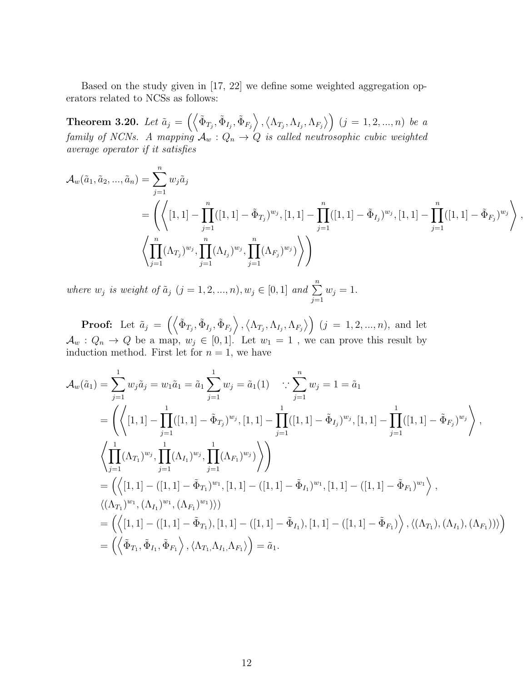Based on the study given in [17, 22] we define some weighted aggregation operators related to NCSs as follows:

**Theorem 3.20.** Let  $\tilde{a}_j = \left( \left\langle \tilde{\Phi}_{T_j}, \tilde{\Phi}_{I_j}, \tilde{\Phi}_{F_j} \right\rangle, \left\langle \Lambda_{T_j}, \Lambda_{I_j}, \Lambda_{F_j} \right\rangle \right)$   $(j = 1, 2, ..., n)$  be a family of NCNs. A mapping  $\mathcal{A}_w: Q_n \to Q$  is called neutrosophic cubic weighted average operator if it satisfies

$$
\mathcal{A}_{w}(\tilde{a}_{1}, \tilde{a}_{2}, ..., \tilde{a}_{n}) = \sum_{j=1}^{n} w_{j} \tilde{a}_{j}
$$
\n
$$
= \left( \left\langle [1, 1] - \prod_{j=1}^{n} ([1, 1] - \tilde{\Phi}_{T_{j}})^{w_{j}}, [1, 1] - \prod_{j=1}^{n} ([1, 1] - \tilde{\Phi}_{I_{j}})^{w_{j}}, [1, 1] - \prod_{j=1}^{n} ([1, 1] - \tilde{\Phi}_{F_{j}})^{w_{j}} \right\rangle,
$$
\n
$$
\left\langle \prod_{j=1}^{n} (\Lambda_{T_{j}})^{w_{j}}, \prod_{j=1}^{n} (\Lambda_{I_{j}})^{w_{j}}, \prod_{j=1}^{n} (\Lambda_{F_{j}})^{w_{j}} \right\rangle \right)
$$

where  $w_j$  is weight of  $\tilde{a}_j$   $(j = 1, 2, ..., n), w_j \in [0, 1]$  and  $\sum_{j=1}^{n}$  $j=1$  $w_j = 1$ .

**Proof:** Let  $\tilde{a}_j = \left( \left\langle \tilde{\Phi}_{T_j}, \tilde{\Phi}_{T_j}, \tilde{\Phi}_{F_j} \right\rangle, \left\langle \Lambda_{T_j}, \Lambda_{I_j}, \Lambda_{F_j} \right\rangle \right)$   $(j = 1, 2, ..., n)$ , and let  $\mathcal{A}_w: Q_n \to Q$  be a map,  $w_j \in [0,1]$ . Let  $w_1 = 1$ , we can prove this result by induction method. First let for  $n = 1$ , we have

$$
\mathcal{A}_{w}(\tilde{a}_{1}) = \sum_{j=1}^{1} w_{j}\tilde{a}_{j} = w_{1}\tilde{a}_{1} = \tilde{a}_{1} \sum_{j=1}^{1} w_{j} = \tilde{a}_{1}(1) \quad \therefore \sum_{j=1}^{n} w_{j} = 1 = \tilde{a}_{1}
$$
\n
$$
= \left( \left\langle [1,1] - \prod_{j=1}^{1} ([1,1] - \tilde{\Phi}_{T_{j}})^{w_{j}}, [1,1] - \prod_{j=1}^{1} ([1,1] - \tilde{\Phi}_{I_{j}})^{w_{j}}, [1,1] - \prod_{j=1}^{1} ([1,1] - \tilde{\Phi}_{F_{j}})^{w_{j}} \right\rangle,
$$
\n
$$
\left\langle \prod_{j=1}^{1} (\Lambda_{T_{1}})^{w_{j}}, \prod_{j=1}^{1} (\Lambda_{I_{1}})^{w_{j}}, \prod_{j=1}^{1} (\Lambda_{F_{1}})^{w_{j}} \right\rangle \right)
$$
\n
$$
= \left( \left\langle [1,1] - ([1,1] - \tilde{\Phi}_{T_{1}})^{w_{1}}, [1,1] - ([1,1] - \tilde{\Phi}_{I_{1}})^{w_{1}}, [1,1] - ([1,1] - \tilde{\Phi}_{F_{1}})^{w_{1}} \right\rangle,
$$
\n
$$
\left\langle (\Lambda_{T_{1}})^{w_{1}}, (\Lambda_{T_{1}})^{w_{1}}, (\Lambda_{F_{1}})^{w_{1}} \right\rangle)
$$
\n
$$
= \left( \left\langle [1,1] - ([1,1] - \tilde{\Phi}_{T_{1}}), [1,1] - ([1,1] - \tilde{\Phi}_{I_{1}}), [1,1] - ([1,1] - \tilde{\Phi}_{F_{1}}) \right\rangle, \left\langle (\Lambda_{T_{1}}), (\Lambda_{F_{1}}), (\Lambda_{F_{1}})) \right\rangle \right)
$$
\n
$$
= \left( \left\langle \tilde{\Phi}_{T_{1}}, \tilde{\Phi}_{T_{1}}, \tilde{\Phi}_{F_{1}} \right\rangle, \left\langle \Lambda_{T_{1}}, \Lambda_{T_{1}}, \Lambda_{F_{1}} \right\rangle \right) = \tilde{a}_{1}.
$$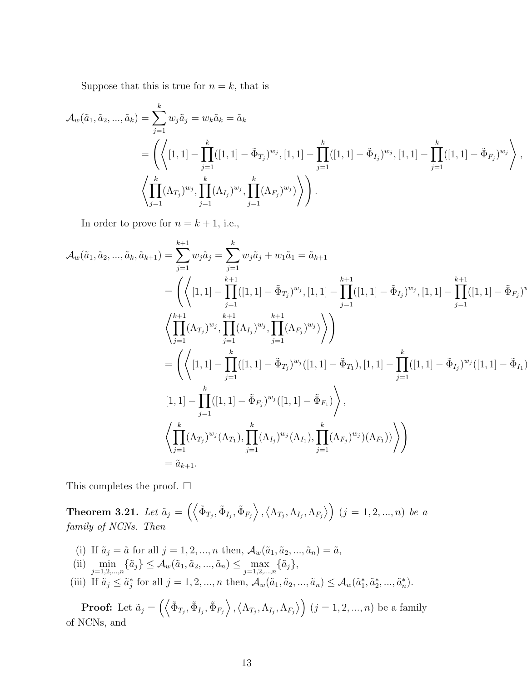Suppose that this is true for  $n = k$ , that is

$$
\mathcal{A}_{w}(\tilde{a}_{1}, \tilde{a}_{2}, ..., \tilde{a}_{k}) = \sum_{j=1}^{k} w_{j} \tilde{a}_{j} = w_{k} \tilde{a}_{k} = \tilde{a}_{k}
$$
\n
$$
= \left( \left\langle [1, 1] - \prod_{j=1}^{k} ([1, 1] - \tilde{\Phi}_{T_{j}})^{w_{j}}, [1, 1] - \prod_{j=1}^{k} ([1, 1] - \tilde{\Phi}_{I_{j}})^{w_{j}}, [1, 1] - \prod_{j=1}^{k} ([1, 1] - \tilde{\Phi}_{F_{j}})^{w_{j}} \right\rangle,
$$
\n
$$
\left\langle \prod_{j=1}^{k} (\Lambda_{T_{j}})^{w_{j}}, \prod_{j=1}^{k} (\Lambda_{I_{j}})^{w_{j}}, \prod_{j=1}^{k} (\Lambda_{F_{j}})^{w_{j}} \right\rangle \right).
$$

In order to prove for  $n = k + 1$ , i.e.,

$$
\mathcal{A}_{w}(\tilde{a}_{1}, \tilde{a}_{2}, ..., \tilde{a}_{k}, \tilde{a}_{k+1}) = \sum_{j=1}^{k+1} w_{j} \tilde{a}_{j} = \sum_{j=1}^{k} w_{j} \tilde{a}_{j} + w_{1} \tilde{a}_{1} = \tilde{a}_{k+1}
$$
\n
$$
= \left( \left\langle [1, 1] - \prod_{j=1}^{k+1} ([1, 1] - \tilde{\Phi}_{T_{j}})^{w_{j}}, [1, 1] - \prod_{j=1}^{k+1} ([1, 1] - \tilde{\Phi}_{I_{j}})^{w_{j}}, [1, 1] - \prod_{j=1}^{k+1} ([1, 1] - \tilde{\Phi}_{F_{j}})^{v_{j}}
$$
\n
$$
\left\langle \prod_{j=1}^{k+1} (\Lambda_{T_{j}})^{w_{j}}, \prod_{j=1}^{k+1} (\Lambda_{T_{j}})^{w_{j}}, \prod_{j=1}^{k+1} (\Lambda_{F_{j}})^{w_{j}} \right\rangle \right)
$$
\n
$$
= \left( \left\langle [1, 1] - \prod_{j=1}^{k} ([1, 1] - \tilde{\Phi}_{T_{j}})^{w_{j}} ([1, 1] - \tilde{\Phi}_{T_{1}}), [1, 1] - \prod_{j=1}^{k} ([1, 1] - \tilde{\Phi}_{I_{j}})^{w_{j}} ([1, 1] - \tilde{\Phi}_{I_{1}}) \right\rangle \right)
$$
\n
$$
[1, 1] - \prod_{j=1}^{k} ([1, 1] - \tilde{\Phi}_{F_{j}})^{w_{j}} ([1, 1] - \tilde{\Phi}_{F_{1}}) \right\rangle,
$$
\n
$$
\left\langle \prod_{j=1}^{k} (\Lambda_{T_{j}})^{w_{j}} (\Lambda_{T_{1}}), \prod_{j=1}^{k} (\Lambda_{T_{j}})^{w_{j}} (\Lambda_{T_{1}}), \prod_{j=1}^{k} (\Lambda_{F_{j}})^{w_{j}} ((\Lambda_{F_{1}})) \right\rangle \right)
$$
\n
$$
= \tilde{a}_{k+1}.
$$

This completes the proof.  $\square$ 

**Theorem 3.21.** Let  $\tilde{a}_j = \left( \left\langle \tilde{\Phi}_{T_j}, \tilde{\Phi}_{I_j}, \tilde{\Phi}_{F_j} \right\rangle, \left\langle \Lambda_{T_j}, \Lambda_{I_j}, \Lambda_{F_j} \right\rangle \right)$   $(j = 1, 2, ..., n)$  be a family of NCNs. Then

- (i) If  $\tilde{a}_j = \tilde{a}$  for all  $j = 1, 2, ..., n$  then,  $\mathcal{A}_w(\tilde{a}_1, \tilde{a}_2, ..., \tilde{a}_n) = \tilde{a}$ ,
- (ii)  $\min_{j=1,2,...,n} {\{\tilde{a}_j\}} \leq \mathcal{A}_{w}(\tilde{a}_1, \tilde{a}_2, ..., \tilde{a}_n) \leq \max_{j=1,2,...,n} {\{\tilde{a}_j\}},$
- (iii) If  $\tilde{a}_j \leq \tilde{a}_j^*$  for all  $j = 1, 2, ..., n$  then,  $\mathcal{A}_w(\tilde{a}_1, \tilde{a}_2, ..., \tilde{a}_n) \leq \mathcal{A}_w(\tilde{a}_1^*, \tilde{a}_2^*, ..., \tilde{a}_n^*).$

**Proof:** Let  $\tilde{a}_j = \left( \left\langle \tilde{\Phi}_{T_j}, \tilde{\Phi}_{I_j}, \tilde{\Phi}_{F_j} \right\rangle, \left\langle \Lambda_{T_j}, \Lambda_{I_j}, \Lambda_{F_j} \right\rangle \right)$   $(j = 1, 2, ..., n)$  be a family of NCNs, and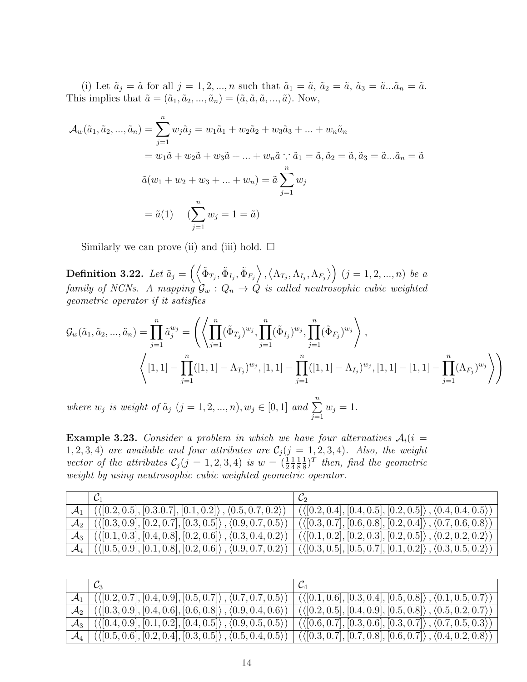(i) Let  $\tilde{a}_j = \tilde{a}$  for all  $j = 1, 2, ..., n$  such that  $\tilde{a}_1 = \tilde{a}$ ,  $\tilde{a}_2 = \tilde{a}$ ,  $\tilde{a}_3 = \tilde{a} \dots \tilde{a}_n = \tilde{a}$ . This implies that  $\tilde{a} = (\tilde{a}_1, \tilde{a}_2, ..., \tilde{a}_n) = (\tilde{a}, \tilde{a}, \tilde{a}, ..., \tilde{a})$ . Now,

$$
\mathcal{A}_{w}(\tilde{a}_{1}, \tilde{a}_{2}, ..., \tilde{a}_{n}) = \sum_{j=1}^{n} w_{j} \tilde{a}_{j} = w_{1} \tilde{a}_{1} + w_{2} \tilde{a}_{2} + w_{3} \tilde{a}_{3} + ... + w_{n} \tilde{a}_{n}
$$
  
\n
$$
= w_{1} \tilde{a} + w_{2} \tilde{a} + w_{3} \tilde{a} + ... + w_{n} \tilde{a} : \tilde{a}_{1} = \tilde{a}, \tilde{a}_{2} = \tilde{a}, \tilde{a}_{3} = \tilde{a} ... \tilde{a}_{n} = \tilde{a}
$$
  
\n
$$
\tilde{a}(w_{1} + w_{2} + w_{3} + ... + w_{n}) = \tilde{a} \sum_{j=1}^{n} w_{j}
$$
  
\n
$$
= \tilde{a}(1) \quad (\sum_{j=1}^{n} w_{j} = 1 = \tilde{a})
$$

Similarly we can prove (ii) and (iii) hold.  $\square$ 

**Definition 3.22.** Let  $\tilde{a}_j = \left( \left\langle \tilde{\Phi}_{T_j}, \tilde{\Phi}_{I_j}, \tilde{\Phi}_{F_j} \right\rangle, \left\langle \Lambda_{T_j}, \Lambda_{I_j}, \Lambda_{F_j} \right\rangle \right)$   $(j = 1, 2, ..., n)$  be a family of NCNs. A mapping  $\mathcal{G}_w: Q_n \to \hat{Q}$  is called neutrosophic cubic weighted geometric operator if it satisfies

$$
\mathcal{G}_{w}(\tilde{a}_{1}, \tilde{a}_{2}, ..., \tilde{a}_{n}) = \prod_{j=1}^{n} \tilde{a}_{j}^{w_{j}} = \left( \left\langle \prod_{j=1}^{n} (\tilde{\Phi}_{T_{j}})^{w_{j}}, \prod_{j=1}^{n} (\tilde{\Phi}_{I_{j}})^{w_{j}}, \prod_{j=1}^{n} (\tilde{\Phi}_{F_{j}})^{w_{j}} \right\rangle, \\ \left\langle [1, 1] - \prod_{j=1}^{n} ([1, 1] - \Lambda_{T_{j}})^{w_{j}}, [1, 1] - \prod_{j=1}^{n} ([1, 1] - \Lambda_{I_{j}})^{w_{j}}, [1, 1] - [1, 1] - \prod_{j=1}^{n} (\Lambda_{F_{j}})^{w_{j}} \right\rangle \right)
$$

where  $w_j$  is weight of  $\tilde{a}_j$   $(j = 1, 2, ..., n), w_j \in [0, 1]$  and  $\sum_{j=1}^{n}$  $j=1$  $w_j = 1$ .

**Example 3.23.** Consider a problem in which we have four alternatives  $A_i(i =$ 1, 2, 3, 4) are available and four attributes are  $C_j$  (j = 1, 2, 3, 4). Also, the weight vector of the attributes  $C_j$  ( $j = 1, 2, 3, 4$ ) is  $w = \left(\frac{1}{2}\right)$ 1 4 1 8 1  $(\frac{1}{8})^T$  then, find the geometric weight by using neutrosophic cubic weighted geometric operator.

|                                                                                                                                                                                                           | $\mathcal{A}_1$ $(\langle [0.2, 0.5], [0.3.0.7], [0.1, 0.2] \rangle, \langle 0.5, 0.7, 0.2 \rangle)$ $(\langle [0.2, 0.4], [0.4, 0.5], [0.2, 0.5] \rangle, \langle 0.4, 0.4, 0.5 \rangle)$                |
|-----------------------------------------------------------------------------------------------------------------------------------------------------------------------------------------------------------|-----------------------------------------------------------------------------------------------------------------------------------------------------------------------------------------------------------|
| $\mathcal{A}_2$ $(\langle [0.3, 0.9], [0.2, 0.7], [0.3, 0.5] \rangle, \langle 0.9, 0.7, 0.5 \rangle)$                                                                                                     | $  (\langle [0.3, 0.7], [0.6, 0.8], [0.2, 0.4] \rangle, \langle 0.7, 0.6, 0.8 \rangle)  $                                                                                                                 |
|                                                                                                                                                                                                           | $\mathcal{A}_3$   ( $\langle [0.1, 0.3], [0.4, 0.8], [0.2, 0.6] \rangle$ , $\langle 0.3, 0.4, 0.2 \rangle$ )   ( $\langle [0.1, 0.2], [0.2, 0.3], [0.2, 0.5] \rangle$ , $\langle 0.2, 0.2, 0.2 \rangle$ ) |
| $\mathcal{A}_4$   ( $\langle [0.5, 0.9], [0.1, 0.8], [0.2, 0.6] \rangle$ , $\langle 0.9, 0.7, 0.2 \rangle$ )   ( $\langle [0.3, 0.5], [0.5, 0.7], [0.1, 0.2] \rangle$ , $\langle 0.3, 0.5, 0.2 \rangle$ ) |                                                                                                                                                                                                           |

| $\mathcal{C}_2$                                                                                  |                                                                                                                                                                                             |
|--------------------------------------------------------------------------------------------------|---------------------------------------------------------------------------------------------------------------------------------------------------------------------------------------------|
|                                                                                                  | $\mathcal{A}_1$ $(\langle [0.2, 0.7], [0.4, 0.9], [0.5, 0.7] \rangle, \langle 0.7, 0.7, 0.5 \rangle)$ $(\langle [0.1, 0.6], [0.3, 0.4], [0.5, 0.8] \rangle, \langle 0.1, 0.5, 0.7 \rangle)$ |
| $\mathcal{A}_2$ (({[0.3, 0.9], [0.4, 0.6], [0.6, 0.8]), (0.9, 0.4, 0.6))                         | $(\langle [0.2, 0.5], [0.4, 0.9], [0.5, 0.8] \rangle, \langle 0.5, 0.2, 0.7 \rangle)$                                                                                                       |
|                                                                                                  | $\mathcal{A}_3$ $(\langle [0.4, 0.9], [0.1, 0.2], [0.4, 0.5] \rangle, \langle 0.9, 0.5, 0.5 \rangle)$ $(\langle [0.6, 0.7], [0.3, 0.6], [0.3, 0.7] \rangle, \langle 0.7, 0.5, 0.3 \rangle)$ |
| $\mathcal{A}_4$ $\vert$ ({[0.5, 0.6], [0.2, 0.4], [0.3, 0.5]}, $\langle 0.5, 0.4, 0.5 \rangle$ } | $\left\{ \left( \left\{ [0.3, 0.7], [0.7, 0.8], [0.6, 0.7] \right\}, \left\{ 0.4, 0.2, 0.8 \right\} \right) \right\}$                                                                       |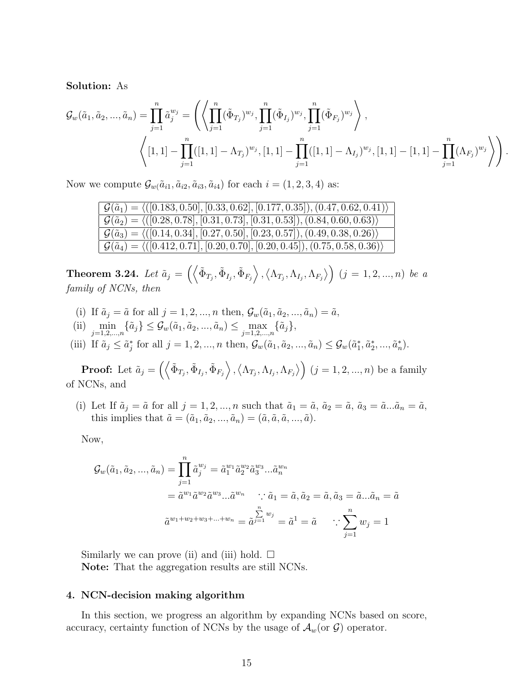Solution: As

$$
\mathcal{G}_{w}(\tilde{a}_{1}, \tilde{a}_{2}, ..., \tilde{a}_{n}) = \prod_{j=1}^{n} \tilde{a}_{j}^{w_{j}} = \left( \left\langle \prod_{j=1}^{n} (\tilde{\Phi}_{T_{j}})^{w_{j}}, \prod_{j=1}^{n} (\tilde{\Phi}_{I_{j}})^{w_{j}}, \prod_{j=1}^{n} (\tilde{\Phi}_{F_{j}})^{w_{j}} \right\rangle, \\ \left\langle [1, 1] - \prod_{j=1}^{n} ([1, 1] - \Lambda_{T_{j}})^{w_{j}}, [1, 1] - \prod_{j=1}^{n} ([1, 1] - \Lambda_{I_{j}})^{w_{j}}, [1, 1] - [1, 1] - \prod_{j=1}^{n} (\Lambda_{F_{j}})^{w_{j}} \right\rangle \right).
$$

Now we compute  $\mathcal{G}_{w}(\tilde{a}_{i1}, \tilde{a}_{i2}, \tilde{a}_{i3}, \tilde{a}_{i4})$  for each  $i = (1, 2, 3, 4)$  as:

| $\mathcal{G}(\tilde{a}_1) = \langle (0.183, 0.50], [0.33, 0.62], [0.177, 0.35]), (0.47, 0.62, 0.41) \rangle$ |
|--------------------------------------------------------------------------------------------------------------|
| $\mathcal{G}(\tilde{a}_2) = \langle (0.28, 0.78], [0.31, 0.73], [0.31, 0.53], (0.84, 0.60, 0.63) \rangle$    |
| $\mathcal{G}(\tilde{a}_3) = \langle (0.14, 0.34], [0.27, 0.50], [0.23, 0.57], (0.49, 0.38, 0.26) \rangle$    |
| $\mathcal{G}(\tilde{a}_4) = \langle (0.412, 0.71], [0.20, 0.70], [0.20, 0.45], (0.75, 0.58, 0.36) \rangle$   |

**Theorem 3.24.** Let  $\tilde{a}_j = \left( \left\langle \tilde{\Phi}_{T_j}, \tilde{\Phi}_{I_j}, \tilde{\Phi}_{F_j} \right\rangle, \left\langle \Lambda_{T_j}, \Lambda_{I_j}, \Lambda_{F_j} \right\rangle \right)$   $(j = 1, 2, ..., n)$  be a family of NCNs, then

- (i) If  $\tilde{a}_j = \tilde{a}$  for all  $j = 1, 2, ..., n$  then,  $\mathcal{G}_w(\tilde{a}_1, \tilde{a}_2, ..., \tilde{a}_n) = \tilde{a}$ ,
- (ii)  $\min_{j=1,2,...,n} {\{\tilde{a}_j\}} \leq \mathcal{G}_w(\tilde{a}_1, \tilde{a}_2, ..., \tilde{a}_n) \leq \max_{j=1,2,...,n} {\{\tilde{a}_j\}},$

(iii) If  $\tilde{a}_j \leq \tilde{a}_j^*$  for all  $j = 1, 2, ..., n$  then,  $\mathcal{G}_w(\tilde{a}_1, \tilde{a}_2, ..., \tilde{a}_n) \leq \mathcal{G}_w(\tilde{a}_1^*, \tilde{a}_2^*, ..., \tilde{a}_n^*).$ 

**Proof:** Let  $\tilde{a}_j = \left( \left\langle \tilde{\Phi}_{T_j}, \tilde{\Phi}_{I_j}, \tilde{\Phi}_{F_j} \right\rangle, \left\langle \Lambda_{T_j}, \Lambda_{I_j}, \Lambda_{F_j} \right\rangle \right)$   $(j = 1, 2, ..., n)$  be a family of NCNs, and

(i) Let If  $\tilde{a}_j = \tilde{a}$  for all  $j = 1, 2, ..., n$  such that  $\tilde{a}_1 = \tilde{a}$ ,  $\tilde{a}_2 = \tilde{a}$ ,  $\tilde{a}_3 = \tilde{a}... \tilde{a}_n = \tilde{a}$ , this implies that  $\tilde{a} = (\tilde{a}_1, \tilde{a}_2, ..., \tilde{a}_n) = (\tilde{a}, \tilde{a}, \tilde{a}, ..., \tilde{a}).$ 

Now,

$$
\mathcal{G}_{w}(\tilde{a}_{1}, \tilde{a}_{2}, ..., \tilde{a}_{n}) = \prod_{j=1}^{n} \tilde{a}_{j}^{w_{j}} = \tilde{a}_{1}^{w_{1}} \tilde{a}_{2}^{w_{2}} \tilde{a}_{3}^{w_{3}} ... \tilde{a}_{n}^{w_{n}}
$$
  
\n
$$
= \tilde{a}^{w_{1}} \tilde{a}^{w_{2}} \tilde{a}^{w_{3}} ... \tilde{a}^{w_{n}} \quad \therefore \tilde{a}_{1} = \tilde{a}, \tilde{a}_{2} = \tilde{a}, \tilde{a}_{3} = \tilde{a} ... \tilde{a}_{n} = \tilde{a}
$$
  
\n
$$
\tilde{a}^{w_{1} + w_{2} + w_{3} + ... + w_{n}} = \tilde{a}_{n}^{w_{n} + w_{n}} = \tilde{a}_{n}^{w_{n} + w_{n}} = \tilde{a}_{n}^{w_{n} + w_{n}} = \tilde{a}_{n}^{w_{n} + w_{n}} = \tilde{a}_{n}^{w_{n} + w_{n}} = \tilde{a}_{n}^{w_{n} + w_{n}} = \tilde{a}_{n}^{w_{n} + w_{n}} = \tilde{a}_{n}^{w_{n} + w_{n}} = \tilde{a}_{n}^{w_{n} + w_{n}} = \tilde{a}_{n}^{w_{n} + w_{n}} = \tilde{a}_{n}^{w_{n} + w_{n}} = \tilde{a}_{n}^{w_{n} + w_{n}} = \tilde{a}_{n}^{w_{n} + w_{n}} = \tilde{a}_{n}^{w_{n} + w_{n}} = \tilde{a}_{n}^{w_{n} + w_{n}} = \tilde{a}_{n}^{w_{n} + w_{n}} = \tilde{a}_{n}^{w_{n} + w_{n}} = \tilde{a}_{n}^{w_{n} + w_{n}} = \tilde{a}_{n}^{w_{n} + w_{n}} = \tilde{a}_{n}^{w_{n} + w_{n}} = \tilde{a}_{n}^{w_{n} + w_{n}} = \tilde{a}_{n}^{w_{n} + w_{n}} = \tilde{a}_{n}^{w_{n} + w_{n}} = \tilde{a}_{n}^{w_{n} + w_{n}} = \tilde{a}_{n}^{w_{n} + w_{n}} = \tilde{a}_{n}^{w_{n
$$

Similarly we can prove (ii) and (iii) hold.  $\square$ Note: That the aggregation results are still NCNs.

### 4. NCN-decision making algorithm

In this section, we progress an algorithm by expanding NCNs based on score, accuracy, certainty function of NCNs by the usage of  $\mathcal{A}_w$  (or  $\mathcal{G}$ ) operator.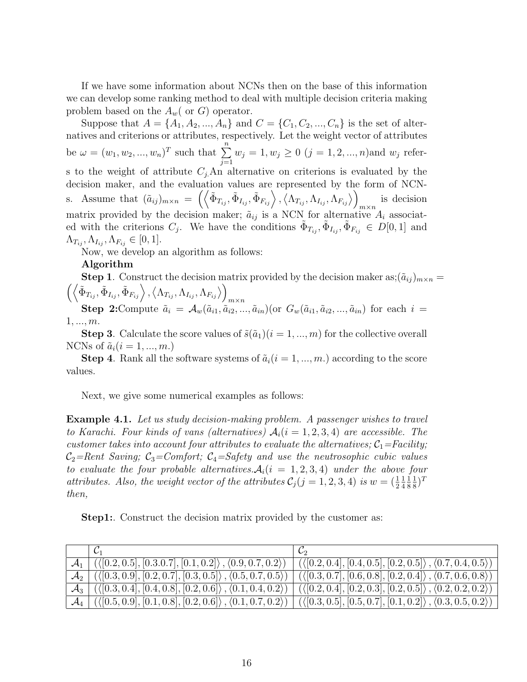If we have some information about NCNs then on the base of this information we can develop some ranking method to deal with multiple decision criteria making problem based on the  $A_w$  or G) operator.

Suppose that  $A = \{A_1, A_2, ..., A_n\}$  and  $C = \{C_1, C_2, ..., C_n\}$  is the set of alternatives and criterions or attributes, respectively. Let the weight vector of attributes be  $\omega = (w_1, w_2, ..., w_n)^T$  such that  $\sum_{n=1}^{\infty}$  $j=1$  $w_j = 1, w_j \ge 0 \ (j = 1, 2, ..., n)$ and  $w_j$  refers to the weight of attribute  $C_j$ . An alternative on criterions is evaluated by the decision maker, and the evaluation values are represented by the form of NCNs. Assume that  $(\tilde{a}_{ij})_{m \times n} = \left( \left\langle \tilde{\Phi}_{T_{ij}}, \tilde{\Phi}_{I_{ij}}, \tilde{\Phi}_{F_{ij}} \right\rangle, \left\langle \Lambda_{T_{ij}}, \Lambda_{I_{ij}}, \Lambda_{F_{ij}} \right\rangle \right)$ is decision matrix provided by the decision maker;  $\tilde{a}_{ij}$  is a NCN for alternative  $A_i$  associated with the criterions  $C_j$ . We have the conditions  $\tilde{\Phi}_{T_{ij}}, \tilde{\Phi}_{T_{ij}}, \tilde{\Phi}_{F_{ij}} \in D[0,1]$  and  $\Lambda_{T_{ij}}, \Lambda_{I_{ij}}, \Lambda_{F_{ij}} \in [0,1].$ 

Now, we develop an algorithm as follows:

## Algorithm

**Step 1.** Construct the decision matrix provided by the decision maker as;  $(\tilde{a}_{ij})_{m \times n}$  =  $\left(\left\langle \tilde{\Phi}_{T_{ij}},\tilde{\Phi}_{F_{ij}},\tilde{\Phi}_{F_{ij}}\right\rangle ,\left\langle \Lambda_{T_{ij}},\Lambda_{I_{ij}},\Lambda_{F_{ij}}\right\rangle \right)$ 

**Step 2:**Compute  $\tilde{a}_i = A_w(\tilde{a}_{i1}, \tilde{a}_{i2}, ..., \tilde{a}_{in})$  (or  $G_w(\tilde{a}_{i1}, \tilde{a}_{i2}, ..., \tilde{a}_{in})$  for each  $i =$  $1, ..., m$ .

**Step 3**. Calculate the score values of  $\tilde{s}(\tilde{a}_1)(i = 1, ..., m)$  for the collective overall NCNs of  $\tilde{a}_i (i = 1, ..., m)$ 

**Step 4.** Rank all the software systems of  $\tilde{a}_i(i = 1, ..., m)$  according to the score values.

Next, we give some numerical examples as follows:

Example 4.1. Let us study decision-making problem. A passenger wishes to travel to Karachi. Four kinds of vans (alternatives)  $A_i(i = 1, 2, 3, 4)$  are accessible. The customer takes into account four attributes to evaluate the alternatives;  $C_1$ =Facility;  $C_2$ =Rent Saving;  $C_3$ =Comfort;  $C_4$ =Safety and use the neutrosophic cubic values to evaluate the four probable alternatives.  $A_i(i = 1, 2, 3, 4)$  under the above four attributes. Also, the weight vector of the attributes  $\mathcal{C}_j (j = 1, 2, 3, 4)$  is  $w = (\frac{1}{2})$ 1 4 1 8 1  $(\frac{1}{8})^T$ then,

Step1:. Construct the decision matrix provided by the customer as:

| $C_1$                                                                                                                                                                                                     |                                                                                             |
|-----------------------------------------------------------------------------------------------------------------------------------------------------------------------------------------------------------|---------------------------------------------------------------------------------------------|
| $\mathcal{A}_1$ $(\langle [0.2, 0.5], [0.3.0.7], [0.1, 0.2] \rangle, \langle 0.9, 0.7, 0.2 \rangle)$ $(\langle [0.2, 0.4], [0.4, 0.5], [0.2, 0.5] \rangle, \langle 0.7, 0.4, 0.5 \rangle)$                |                                                                                             |
| $\mathcal{A}_2$ (({ $[0.3, 0.9]$ , $[0.2, 0.7]$ , $[0.3, 0.5]$ }, $\langle 0.5, 0.7, 0.5 \rangle$ )                                                                                                       | $(\langle [0.3, 0.7], [0.6, 0.8], [0.2, 0.4] \rangle, \langle 0.7, 0.6, 0.8 \rangle)$       |
| $\mathcal{A}_3$ $(\langle [0.3, 0.4], [0.4, 0.8], [0.2, 0.6] \rangle, \langle 0.1, 0.4, 0.2 \rangle)$                                                                                                     | $\vert (\langle [0.2, 0.4], [0.2, 0.3], [0.2, 0.5] \rangle, \langle 0.2, 0.2, 0.2 \rangle)$ |
| $\mathcal{A}_4$   ( $\langle [0.5, 0.9], [0.1, 0.8], [0.2, 0.6] \rangle$ , $\langle 0.1, 0.7, 0.2 \rangle$ )   ( $\langle [0.3, 0.5], [0.5, 0.7], [0.1, 0.2] \rangle$ , $\langle 0.3, 0.5, 0.2 \rangle$ ) |                                                                                             |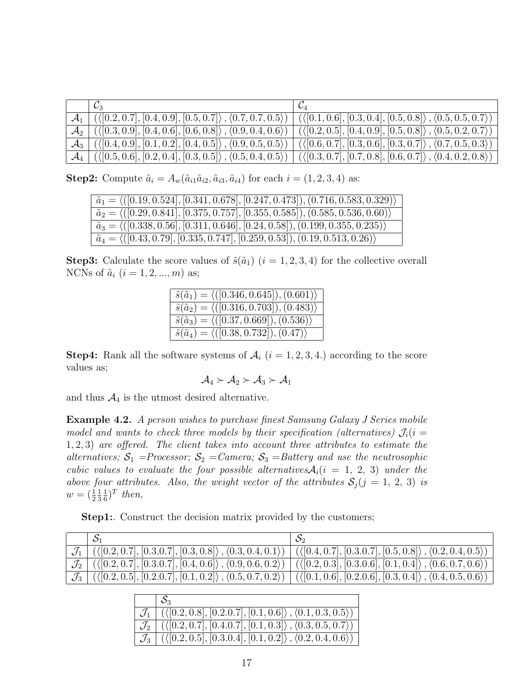| $\mathcal{C}_3$                                                                                                                                                                             |                                                                                       |
|---------------------------------------------------------------------------------------------------------------------------------------------------------------------------------------------|---------------------------------------------------------------------------------------|
| $\mathcal{A}_1$ $(\langle [0.2, 0.7], [0.4, 0.9], [0.5, 0.7] \rangle, \langle 0.7, 0.7, 0.5 \rangle)$                                                                                       | $(\langle [0.1, 0.6], [0.3, 0.4], [0.5, 0.8] \rangle, \langle 0.5, 0.5, 0.7 \rangle)$ |
| $\mathcal{A}_2$ (({[0.3, 0.9], [0.4, 0.6], [0.6, 0.8]), (0.9, 0.4, 0.6)) (({[0.2, 0.5], [0.4, 0.9], [0.5, 0.8]), (0.5, 0.2, 0.7))                                                           |                                                                                       |
| $\mathcal{A}_3$ $\vert$ ( $\langle [0.4, 0.9], [0.1, 0.2], [0.4, 0.5] \rangle$ , $\langle 0.9, 0.5, 0.5 \rangle$ )                                                                          | $\langle (0.6, 0.7], [0.3, 0.6], [0.3, 0.7] \rangle, (0.7, 0.5, 0.3) \rangle$         |
| $\mathcal{A}_4$ $(\langle [0.5, 0.6], [0.2, 0.4], [0.3, 0.5] \rangle, \langle 0.5, 0.4, 0.5 \rangle)$ $(\langle [0.3, 0.7], [0.7, 0.8], [0.6, 0.7] \rangle, \langle 0.4, 0.2, 0.8 \rangle)$ |                                                                                       |

**Step2:** Compute  $\tilde{a}_i = A_w(\tilde{a}_{i1}\tilde{a}_{i2}, \tilde{a}_{i3}, \tilde{a}_{i4})$  for each  $i = (1, 2, 3, 4)$  as:

| $\vert \tilde{a}_1 = \langle (0.19, 0.524], [0.341, 0.678], [0.247, 0.473]), (0.716, 0.583, 0.329) \rangle$ |
|-------------------------------------------------------------------------------------------------------------|
| $\tilde{a}_2 = \langle (0.29, 0.841], [0.375, 0.757], [0.355, 0.585]), (0.585, 0.536, 0.60) \rangle$        |
| $\tilde{a}_3 = \langle (0.338, 0.56], [0.311, 0.646], [0.24, 0.58], (0.199, 0.355, 0.235) \rangle$          |
| $\tilde{a}_4 = \langle (0.43, 0.79], [0.335, 0.747], [0.259, 0.53]), (0.19, 0.513, 0.26) \rangle$           |

**Step3:** Calculate the score values of  $\tilde{s}(\tilde{a}_1)$  ( $i = 1, 2, 3, 4$ ) for the collective overall NCNs of  $\tilde{a}_i$   $(i = 1, 2, ..., m)$  as;

| $\tilde{s}(\tilde{a}_1) = \langle ([0.346, 0.645]), (0.601) \rangle$ |
|----------------------------------------------------------------------|
| $\tilde{s}(\tilde{a}_2) = \langle ([0.316, 0.703]), (0.483) \rangle$ |
| $\tilde{s}(\tilde{a}_3) = \langle (0.37, 0.669), (0.536) \rangle$    |
| $\tilde{s}(\tilde{a}_4) = \langle ([0.38, 0.732]), (0.47) \rangle$   |

**Step4:** Rank all the software systems of  $\mathcal{A}_i$  ( $i = 1, 2, 3, 4$ .) according to the score values as;

$$
\mathcal{A}_4\succ\mathcal{A}_2\succ\mathcal{A}_3\succ\mathcal{A}_1
$$

and thus  $A_4$  is the utmost desired alternative.

Example 4.2. A person wishes to purchase finest Samsung Galaxy J Series mobile model and wants to check three models by their specification (alternatives)  $\mathcal{J}_i(i =$  $1, 2, 3$ ) are offered. The client takes into account three attributes to estimate the alternatives;  $S_1$  =Processor;  $S_2$  =Camera;  $S_3$  =Battery and use the neutrosophic cubic values to evaluate the four possible alternatives  $A_i(i = 1, 2, 3)$  under the above four attributes. Also, the weight vector of the attributes  $S_j (j = 1, 2, 3)$  is  $w = \left(\frac{1}{2}\right)$ 1 3 1  $(\frac{1}{6})^T$  then,

**Step1:** Construct the decision matrix provided by the customers;

| $\mathcal{J}_1$ $(\langle [0.2, 0.7], [0.3.0.7], [0.3, 0.8], \langle 0.3, 0.4, 0.1 \rangle)$ $(\langle [0.4, 0.7], [0.3.0.7], [0.5, 0.8], \langle 0.2, 0.4, 0.5 \rangle)$                 |  |
|-------------------------------------------------------------------------------------------------------------------------------------------------------------------------------------------|--|
| $\mathcal{J}_2$ $(\langle [0.2, 0.7], [0.3.0.7], [0.4, 0.6] \rangle, \langle 0.9, 0.6, 0.2 \rangle)$ $(\langle [0.2, 0.3], [0.3.0.6], [0.1, 0.4] \rangle, \langle 0.6, 0.7, 0.6 \rangle)$ |  |
| $\mathcal{J}_3$ $(\langle [0.2, 0.5], [0.2.0.7], [0.1, 0.2] \rangle, \langle 0.5, 0.7, 0.2 \rangle)$ $(\langle [0.1, 0.6], [0.2.0.6], [0.3, 0.4] \rangle, \langle 0.4, 0.5, 0.6 \rangle)$ |  |

|                 | $\mathcal{J}_1$ (([0.2, 0.8], [0.2.0.7], [0.1, 0.6]), (0.1, 0.3, 0.5))                               |
|-----------------|------------------------------------------------------------------------------------------------------|
|                 | $\mathcal{J}_2$ $(\langle [0.2, 0.7], [0.4.0.7], [0.1, 0.3] \rangle, \langle 0.3, 0.5, 0.7 \rangle)$ |
| $\mathcal{J}_3$ | $\vert (\langle [0.2, 0.5], [0.3.0.4], [0.1, 0.2] \rangle, \langle 0.2, 0.4, 0.6 \rangle) \vert$     |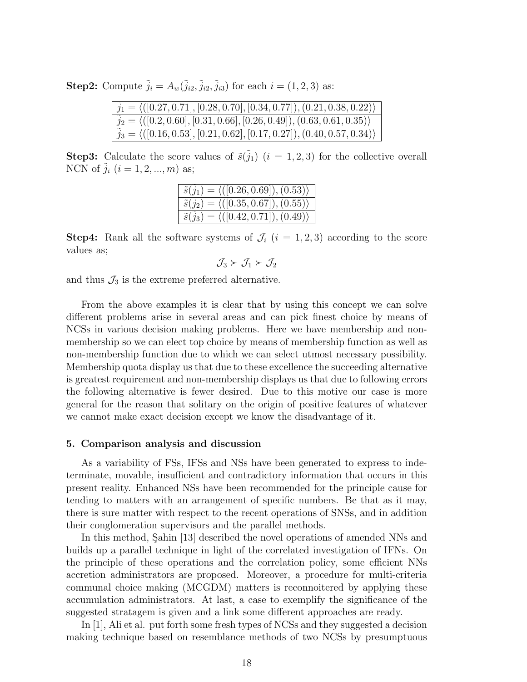**Step2:** Compute  $\tilde{j}_i = A_w(\tilde{j}_{i2}, \tilde{j}_{i2}, \tilde{j}_{i3})$  for each  $i = (1, 2, 3)$  as:

| $\hat{j}_1 = \langle (0.27, 0.71], [0.28, 0.70], [0.34, 0.77], (0.21, 0.38, 0.22) \rangle$ |
|--------------------------------------------------------------------------------------------|
| $  j_2 = \langle (0.2, 0.60], [0.31, 0.66], [0.26, 0.49], (0.63, 0.61, 0.35) \rangle$      |
| $j_3 = \langle ([0.16, 0.53], [0.21, 0.62], [0.17, 0.27]), (0.40, 0.57, 0.34) \rangle$     |

**Step3:** Calculate the score values of  $\tilde{s}(\tilde{j}_1)$  ( $i = 1, 2, 3$ ) for the collective overall NCN of  $\tilde{j}_i$   $(i = 1, 2, ..., m)$  as;

| $\tilde{s}(j_1) = \langle (0.26, 0.69), (0.53) \rangle$   |
|-----------------------------------------------------------|
| $\tilde{s}(j_2) = \langle ([0.35, 0.67]), (0.55) \rangle$ |
| $\tilde{s}(j_3) = \langle ([0.42, 0.71]), (0.49) \rangle$ |

**Step4:** Rank all the software systems of  $\mathcal{J}_i$  ( $i = 1, 2, 3$ ) according to the score values as;

 $\mathcal{J}_3 \succ \mathcal{J}_1 \succ \mathcal{J}_2$ 

and thus  $\mathcal{J}_3$  is the extreme preferred alternative.

From the above examples it is clear that by using this concept we can solve different problems arise in several areas and can pick finest choice by means of NCSs in various decision making problems. Here we have membership and nonmembership so we can elect top choice by means of membership function as well as non-membership function due to which we can select utmost necessary possibility. Membership quota display us that due to these excellence the succeeding alternative is greatest requirement and non-membership displays us that due to following errors the following alternative is fewer desired. Due to this motive our case is more general for the reason that solitary on the origin of positive features of whatever we cannot make exact decision except we know the disadvantage of it.

#### 5. Comparison analysis and discussion

As a variability of FSs, IFSs and NSs have been generated to express to indeterminate, movable, insufficient and contradictory information that occurs in this present reality. Enhanced NSs have been recommended for the principle cause for tending to matters with an arrangement of specific numbers. Be that as it may, there is sure matter with respect to the recent operations of SNSs, and in addition their conglomeration supervisors and the parallel methods.

In this method, Sahin [13] described the novel operations of amended NNs and builds up a parallel technique in light of the correlated investigation of IFNs. On the principle of these operations and the correlation policy, some efficient NNs accretion administrators are proposed. Moreover, a procedure for multi-criteria communal choice making (MCGDM) matters is reconnoitered by applying these accumulation administrators. At last, a case to exemplify the significance of the suggested stratagem is given and a link some different approaches are ready.

In [1], Ali et al. put forth some fresh types of NCSs and they suggested a decision making technique based on resemblance methods of two NCSs by presumptuous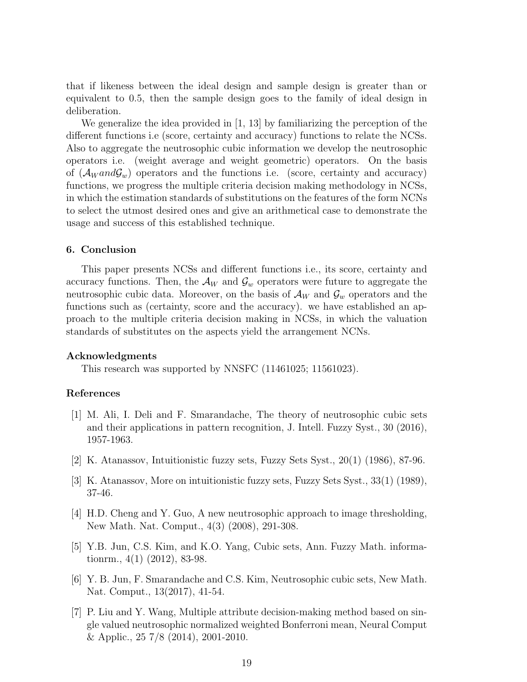that if likeness between the ideal design and sample design is greater than or equivalent to 0.5, then the sample design goes to the family of ideal design in deliberation.

We generalize the idea provided in [1, 13] by familiarizing the perception of the different functions i.e (score, certainty and accuracy) functions to relate the NCSs. Also to aggregate the neutrosophic cubic information we develop the neutrosophic operators i.e. (weight average and weight geometric) operators. On the basis of  $(\mathcal{A}_{W} and \mathcal{G}_{w})$  operators and the functions i.e. (score, certainty and accuracy) functions, we progress the multiple criteria decision making methodology in NCSs, in which the estimation standards of substitutions on the features of the form NCNs to select the utmost desired ones and give an arithmetical case to demonstrate the usage and success of this established technique.

#### 6. Conclusion

This paper presents NCSs and different functions i.e., its score, certainty and accuracy functions. Then, the  $\mathcal{A}_W$  and  $\mathcal{G}_w$  operators were future to aggregate the neutrosophic cubic data. Moreover, on the basis of  $\mathcal{A}_W$  and  $\mathcal{G}_w$  operators and the functions such as (certainty, score and the accuracy). we have established an approach to the multiple criteria decision making in NCSs, in which the valuation standards of substitutes on the aspects yield the arrangement NCNs.

#### Acknowledgments

This research was supported by NNSFC (11461025; 11561023).

# References

- [1] M. Ali, I. Deli and F. Smarandache, The theory of neutrosophic cubic sets and their applications in pattern recognition, J. Intell. Fuzzy Syst., 30 (2016), 1957-1963.
- [2] K. Atanassov, Intuitionistic fuzzy sets, Fuzzy Sets Syst., 20(1) (1986), 87-96.
- [3] K. Atanassov, More on intuitionistic fuzzy sets, Fuzzy Sets Syst., 33(1) (1989), 37-46.
- [4] H.D. Cheng and Y. Guo, A new neutrosophic approach to image thresholding, New Math. Nat. Comput., 4(3) (2008), 291-308.
- [5] Y.B. Jun, C.S. Kim, and K.O. Yang, Cubic sets, Ann. Fuzzy Math. informationrm., 4(1) (2012), 83-98.
- [6] Y. B. Jun, F. Smarandache and C.S. Kim, Neutrosophic cubic sets, New Math. Nat. Comput., 13(2017), 41-54.
- [7] P. Liu and Y. Wang, Multiple attribute decision-making method based on single valued neutrosophic normalized weighted Bonferroni mean, Neural Comput & Applic., 25 7/8 (2014), 2001-2010.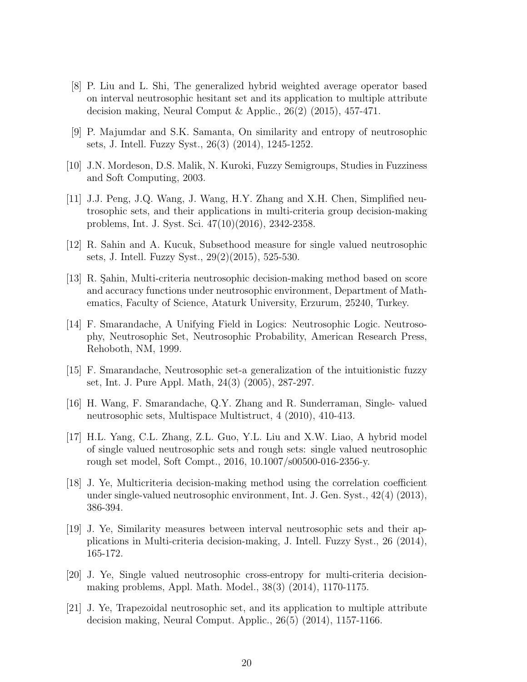- [8] P. Liu and L. Shi, The generalized hybrid weighted average operator based on interval neutrosophic hesitant set and its application to multiple attribute decision making, Neural Comput & Applic., 26(2) (2015), 457-471.
- [9] P. Majumdar and S.K. Samanta, On similarity and entropy of neutrosophic sets, J. Intell. Fuzzy Syst., 26(3) (2014), 1245-1252.
- [10] J.N. Mordeson, D.S. Malik, N. Kuroki, Fuzzy Semigroups, Studies in Fuzziness and Soft Computing, 2003.
- [11] J.J. Peng, J.Q. Wang, J. Wang, H.Y. Zhang and X.H. Chen, Simplified neutrosophic sets, and their applications in multi-criteria group decision-making problems, Int. J. Syst. Sci. 47(10)(2016), 2342-2358.
- [12] R. Sahin and A. Kucuk, Subsethood measure for single valued neutrosophic sets, J. Intell. Fuzzy Syst., 29(2)(2015), 525-530.
- [13] R. Sahin, Multi-criteria neutrosophic decision-making method based on score and accuracy functions under neutrosophic environment, Department of Mathematics, Faculty of Science, Ataturk University, Erzurum, 25240, Turkey.
- [14] F. Smarandache, A Unifying Field in Logics: Neutrosophic Logic. Neutrosophy, Neutrosophic Set, Neutrosophic Probability, American Research Press, Rehoboth, NM, 1999.
- [15] F. Smarandache, Neutrosophic set-a generalization of the intuitionistic fuzzy set, Int. J. Pure Appl. Math, 24(3) (2005), 287-297.
- [16] H. Wang, F. Smarandache, Q.Y. Zhang and R. Sunderraman, Single- valued neutrosophic sets, Multispace Multistruct, 4 (2010), 410-413.
- [17] H.L. Yang, C.L. Zhang, Z.L. Guo, Y.L. Liu and X.W. Liao, A hybrid model of single valued neutrosophic sets and rough sets: single valued neutrosophic rough set model, Soft Compt., 2016, 10.1007/s00500-016-2356-y.
- [18] J. Ye, Multicriteria decision-making method using the correlation coefficient under single-valued neutrosophic environment, Int. J. Gen. Syst., 42(4) (2013), 386-394.
- [19] J. Ye, Similarity measures between interval neutrosophic sets and their applications in Multi-criteria decision-making, J. Intell. Fuzzy Syst., 26 (2014), 165-172.
- [20] J. Ye, Single valued neutrosophic cross-entropy for multi-criteria decisionmaking problems, Appl. Math. Model., 38(3) (2014), 1170-1175.
- [21] J. Ye, Trapezoidal neutrosophic set, and its application to multiple attribute decision making, Neural Comput. Applic., 26(5) (2014), 1157-1166.